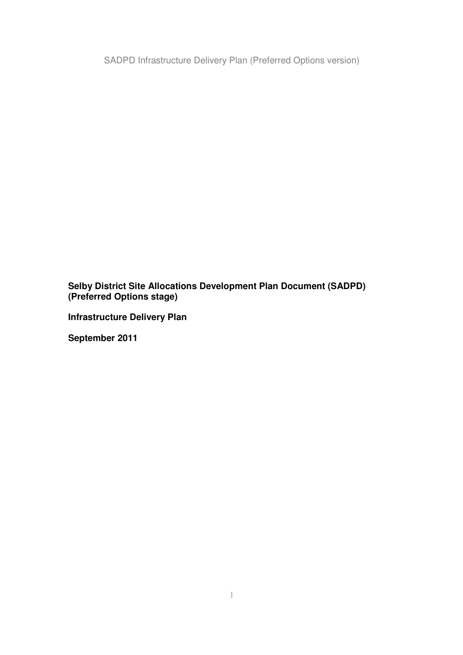**Selby District Site Allocations Development Plan Document (SADPD) (Preferred Options stage)**

**Infrastructure Delivery Plan**

**September 2011**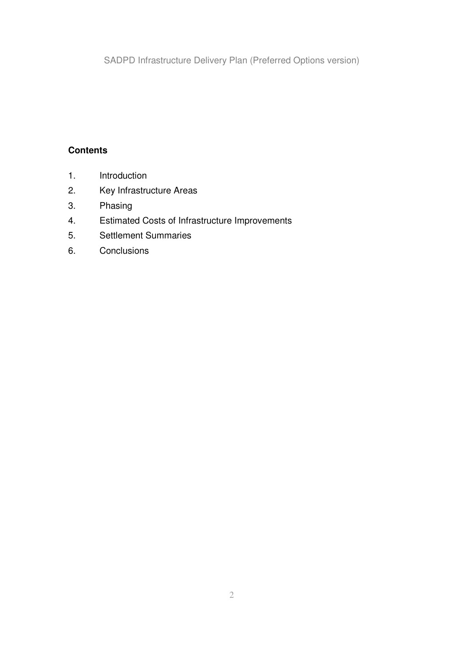### **Contents**

- 1. Introduction
- 2. Key Infrastructure Areas
- 3. Phasing
- 4. Estimated Costs of Infrastructure Improvements
- 5. Settlement Summaries
- 6. Conclusions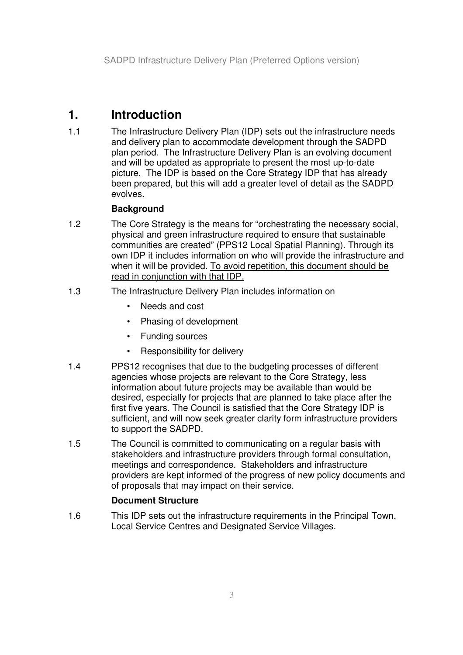# **1. Introduction**

1.1 The Infrastructure Delivery Plan (IDP) sets out the infrastructure needs and delivery plan to accommodate development through the SADPD plan period. The Infrastructure Delivery Plan is an evolving document and will be updated as appropriate to present the most up-to-date picture. The IDP is based on the Core Strategy IDP that has already been prepared, but this will add a greater level of detail as the SADPD evolves.

#### **Background**

- 1.2 The Core Strategy is the means for "orchestrating the necessary social, physical and green infrastructure required to ensure that sustainable communities are created" (PPS12 Local Spatial Planning). Through its own IDP it includes information on who will provide the infrastructure and when it will be provided. To avoid repetition, this document should be read in conjunction with that IDP.
- 1.3 The Infrastructure Delivery Plan includes information on
	- Needs and cost
	- Phasing of development
	- Funding sources
	- Responsibility for delivery
- 1.4 PPS12 recognises that due to the budgeting processes of different agencies whose projects are relevant to the Core Strategy, less information about future projects may be available than would be desired, especially for projects that are planned to take place after the first five years. The Council is satisfied that the Core Strategy IDP is sufficient, and will now seek greater clarity form infrastructure providers to support the SADPD.
- 1.5 The Council is committed to communicating on a regular basis with stakeholders and infrastructure providers through formal consultation, meetings and correspondence. Stakeholders and infrastructure providers are kept informed of the progress of new policy documents and of proposals that may impact on their service.

#### **Document Structure**

1.6 This IDP sets out the infrastructure requirements in the Principal Town, Local Service Centres and Designated Service Villages.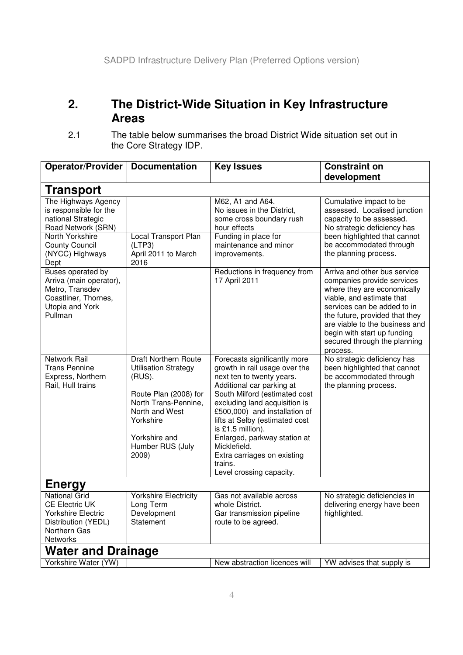## **2. The District-Wide Situation in Key Infrastructure Areas**

<sup>2.1</sup> The table below summarises the broad District Wide situation set out in the Core Strategy IDP.

| <b>Operator/Provider</b>                                                                                                                                         | <b>Documentation</b>                                                                                                                                                                                  | <b>Key Issues</b>                                                                                                                                                                                                                                                                                                                                                                                       | <b>Constraint on</b><br>development                                                                                                                                                                                                                                                                  |
|------------------------------------------------------------------------------------------------------------------------------------------------------------------|-------------------------------------------------------------------------------------------------------------------------------------------------------------------------------------------------------|---------------------------------------------------------------------------------------------------------------------------------------------------------------------------------------------------------------------------------------------------------------------------------------------------------------------------------------------------------------------------------------------------------|------------------------------------------------------------------------------------------------------------------------------------------------------------------------------------------------------------------------------------------------------------------------------------------------------|
| <b>Transport</b>                                                                                                                                                 |                                                                                                                                                                                                       |                                                                                                                                                                                                                                                                                                                                                                                                         |                                                                                                                                                                                                                                                                                                      |
| The Highways Agency<br>is responsible for the<br>national Strategic<br>Road Network (SRN)<br>North Yorkshire<br><b>County Council</b><br>(NYCC) Highways<br>Dept | Local Transport Plan<br>(LTP3)<br>April 2011 to March<br>2016                                                                                                                                         | M62, A1 and A64.<br>No issues in the District,<br>some cross boundary rush<br>hour effects<br>Funding in place for<br>maintenance and minor<br>improvements.                                                                                                                                                                                                                                            | Cumulative impact to be<br>assessed. Localised junction<br>capacity to be assessed.<br>No strategic deficiency has<br>been highlighted that cannot<br>be accommodated through<br>the planning process.                                                                                               |
| Buses operated by<br>Arriva (main operator),<br>Metro, Transdev<br>Coastliner, Thornes,<br>Utopia and York<br>Pullman                                            |                                                                                                                                                                                                       | Reductions in frequency from<br>17 April 2011                                                                                                                                                                                                                                                                                                                                                           | Arriva and other bus service<br>companies provide services<br>where they are economically<br>viable, and estimate that<br>services can be added to in<br>the future, provided that they<br>are viable to the business and<br>begin with start up funding<br>secured through the planning<br>process. |
| Network Rail<br><b>Trans Pennine</b><br>Express, Northern<br>Rail, Hull trains                                                                                   | <b>Draft Northern Route</b><br><b>Utilisation Strategy</b><br>$(RUS)$ .<br>Route Plan (2008) for<br>North Trans-Pennine,<br>North and West<br>Yorkshire<br>Yorkshire and<br>Humber RUS (July<br>2009) | Forecasts significantly more<br>growth in rail usage over the<br>next ten to twenty years.<br>Additional car parking at<br>South Milford (estimated cost<br>excluding land acquisition is<br>£500,000) and installation of<br>lifts at Selby (estimated cost<br>is £1.5 million).<br>Enlarged, parkway station at<br>Micklefield.<br>Extra carriages on existing<br>trains.<br>Level crossing capacity. | No strategic deficiency has<br>been highlighted that cannot<br>be accommodated through<br>the planning process.                                                                                                                                                                                      |
| <b>Energy</b>                                                                                                                                                    |                                                                                                                                                                                                       |                                                                                                                                                                                                                                                                                                                                                                                                         |                                                                                                                                                                                                                                                                                                      |
| <b>National Grid</b><br><b>CE Electric UK</b><br><b>Yorkshire Electric</b><br>Distribution (YEDL)<br>Northern Gas<br><b>Networks</b>                             | Yorkshire Electricity<br>Long Term<br>Development<br>Statement                                                                                                                                        | Gas not available across<br>whole District.<br>Gar transmission pipeline<br>route to be agreed.                                                                                                                                                                                                                                                                                                         | No strategic deficiencies in<br>delivering energy have been<br>highlighted.                                                                                                                                                                                                                          |
| <b>Water and Drainage</b>                                                                                                                                        |                                                                                                                                                                                                       |                                                                                                                                                                                                                                                                                                                                                                                                         |                                                                                                                                                                                                                                                                                                      |
| Yorkshire Water (YW)                                                                                                                                             |                                                                                                                                                                                                       | New abstraction licences will                                                                                                                                                                                                                                                                                                                                                                           | YW advises that supply is                                                                                                                                                                                                                                                                            |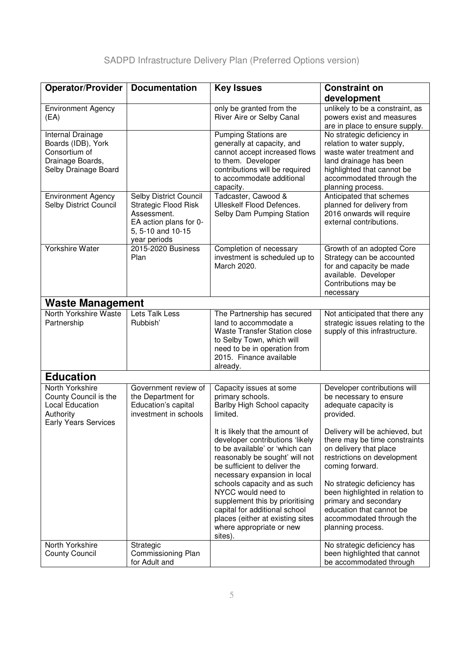| <b>Operator/Provider</b>                                                                                       | <b>Documentation</b>                                                                                                                | <b>Key Issues</b>                                                                                                                                                                                      | <b>Constraint on</b>                                                                                                                                                                          |  |
|----------------------------------------------------------------------------------------------------------------|-------------------------------------------------------------------------------------------------------------------------------------|--------------------------------------------------------------------------------------------------------------------------------------------------------------------------------------------------------|-----------------------------------------------------------------------------------------------------------------------------------------------------------------------------------------------|--|
|                                                                                                                |                                                                                                                                     |                                                                                                                                                                                                        | development                                                                                                                                                                                   |  |
| <b>Environment Agency</b><br>(EA)                                                                              |                                                                                                                                     | only be granted from the<br>River Aire or Selby Canal                                                                                                                                                  | unlikely to be a constraint, as<br>powers exist and measures<br>are in place to ensure supply.                                                                                                |  |
| Internal Drainage<br>Boards (IDB), York<br>Consortium of<br>Drainage Boards,<br>Selby Drainage Board           |                                                                                                                                     | <b>Pumping Stations are</b><br>generally at capacity, and<br>cannot accept increased flows<br>to them. Developer<br>contributions will be required<br>to accommodate additional<br>capacity.           | No strategic deficiency in<br>relation to water supply,<br>waste water treatment and<br>land drainage has been<br>highlighted that cannot be<br>accommodated through the<br>planning process. |  |
| <b>Environment Agency</b><br>Selby District Council                                                            | Selby District Council<br><b>Strategic Flood Risk</b><br>Assessment.<br>EA action plans for 0-<br>5, 5-10 and 10-15<br>year periods | Tadcaster, Cawood &<br><b>Ulleskelf Flood Defences.</b><br>Selby Dam Pumping Station                                                                                                                   | Anticipated that schemes<br>planned for delivery from<br>2016 onwards will require<br>external contributions.                                                                                 |  |
| <b>Yorkshire Water</b>                                                                                         | 2015-2020 Business<br>Plan                                                                                                          | Completion of necessary<br>investment is scheduled up to<br>March 2020.                                                                                                                                | Growth of an adopted Core<br>Strategy can be accounted<br>for and capacity be made<br>available. Developer<br>Contributions may be<br>necessary                                               |  |
| <b>Waste Management</b>                                                                                        |                                                                                                                                     |                                                                                                                                                                                                        |                                                                                                                                                                                               |  |
| North Yorkshire Waste<br>Partnership                                                                           | Lets Talk Less<br>Rubbish'                                                                                                          | The Partnership has secured<br>land to accommodate a<br>Waste Transfer Station close<br>to Selby Town, which will<br>need to be in operation from<br>2015. Finance available<br>already.               | Not anticipated that there any<br>strategic issues relating to the<br>supply of this infrastructure.                                                                                          |  |
| <b>Education</b>                                                                                               |                                                                                                                                     |                                                                                                                                                                                                        |                                                                                                                                                                                               |  |
| North Yorkshire<br>County Council is the<br><b>Local Education</b><br>Authority<br><b>Early Years Services</b> | Government review of<br>the Department for<br>Education's capital<br>investment in schools                                          | Capacity issues at some<br>primary schools.<br>Barlby High School capacity<br>limited.                                                                                                                 | Developer contributions will<br>be necessary to ensure<br>adequate capacity is<br>provided.                                                                                                   |  |
|                                                                                                                |                                                                                                                                     | It is likely that the amount of<br>developer contributions 'likely<br>to be available' or 'which can<br>reasonably be sought' will not<br>be sufficient to deliver the<br>necessary expansion in local | Delivery will be achieved, but<br>there may be time constraints<br>on delivery that place<br>restrictions on development<br>coming forward.                                                   |  |
|                                                                                                                |                                                                                                                                     | schools capacity and as such<br>NYCC would need to<br>supplement this by prioritising<br>capital for additional school<br>places (either at existing sites<br>where appropriate or new<br>sites).      | No strategic deficiency has<br>been highlighted in relation to<br>primary and secondary<br>education that cannot be<br>accommodated through the<br>planning process.                          |  |
| North Yorkshire<br><b>County Council</b>                                                                       | Strategic<br>Commissioning Plan<br>for Adult and                                                                                    |                                                                                                                                                                                                        | No strategic deficiency has<br>been highlighted that cannot<br>be accommodated through                                                                                                        |  |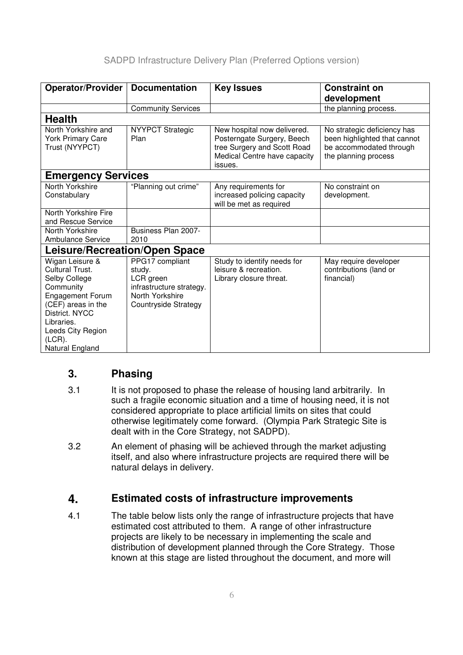| <b>Operator/Provider</b>                                                                                                                                                                               | <b>Documentation</b>                                                                                          | <b>Key Issues</b>                                                                                                                   | <b>Constraint on</b>                                                                                           |  |
|--------------------------------------------------------------------------------------------------------------------------------------------------------------------------------------------------------|---------------------------------------------------------------------------------------------------------------|-------------------------------------------------------------------------------------------------------------------------------------|----------------------------------------------------------------------------------------------------------------|--|
|                                                                                                                                                                                                        |                                                                                                               |                                                                                                                                     |                                                                                                                |  |
|                                                                                                                                                                                                        |                                                                                                               |                                                                                                                                     | development                                                                                                    |  |
|                                                                                                                                                                                                        | <b>Community Services</b>                                                                                     |                                                                                                                                     | the planning process.                                                                                          |  |
| <b>Health</b>                                                                                                                                                                                          |                                                                                                               |                                                                                                                                     |                                                                                                                |  |
| North Yorkshire and<br><b>York Primary Care</b><br>Trust (NYYPCT)                                                                                                                                      | <b>NYYPCT Strategic</b><br>Plan                                                                               | New hospital now delivered.<br>Posterngate Surgery, Beech<br>tree Surgery and Scott Road<br>Medical Centre have capacity<br>issues. | No strategic deficiency has<br>been highlighted that cannot<br>be accommodated through<br>the planning process |  |
| <b>Emergency Services</b>                                                                                                                                                                              |                                                                                                               |                                                                                                                                     |                                                                                                                |  |
| North Yorkshire<br>Constabulary                                                                                                                                                                        | "Planning out crime"                                                                                          | Any requirements for<br>increased policing capacity<br>will be met as required                                                      | No constraint on<br>development.                                                                               |  |
| North Yorkshire Fire<br>and Rescue Service                                                                                                                                                             |                                                                                                               |                                                                                                                                     |                                                                                                                |  |
| North Yorkshire<br><b>Ambulance Service</b>                                                                                                                                                            | Business Plan 2007-<br>2010                                                                                   |                                                                                                                                     |                                                                                                                |  |
| Leisure/Recreation/Open Space                                                                                                                                                                          |                                                                                                               |                                                                                                                                     |                                                                                                                |  |
| Wigan Leisure &<br>Cultural Trust.<br>Selby College<br>Community<br><b>Engagement Forum</b><br>(CEF) areas in the<br>District. NYCC<br>Libraries.<br>Leeds City Region<br>$(LCR)$ .<br>Natural England | PPG17 compliant<br>study.<br>LCR green<br>infrastructure strategy.<br>North Yorkshire<br>Countryside Strategy | Study to identify needs for<br>leisure & recreation.<br>Library closure threat.                                                     | May require developer<br>contributions (land or<br>financial)                                                  |  |

### **3. Phasing**

- 3.1 It is not proposed to phase the release of housing land arbitrarily. In such a fragile economic situation and a time of housing need, it is not considered appropriate to place artificial limits on sites that could otherwise legitimately come forward. (Olympia Park Strategic Site is dealt with in the Core Strategy, not SADPD).
- 3.2 An element of phasing will be achieved through the market adjusting itself, and also where infrastructure projects are required there will be natural delays in delivery.

### **4. Estimated costs of infrastructure improvements**

4.1 The table below lists only the range of infrastructure projects that have estimated cost attributed to them. A range of other infrastructure projects are likely to be necessary in implementing the scale and distribution of development planned through the Core Strategy. Those known at this stage are listed throughout the document, and more will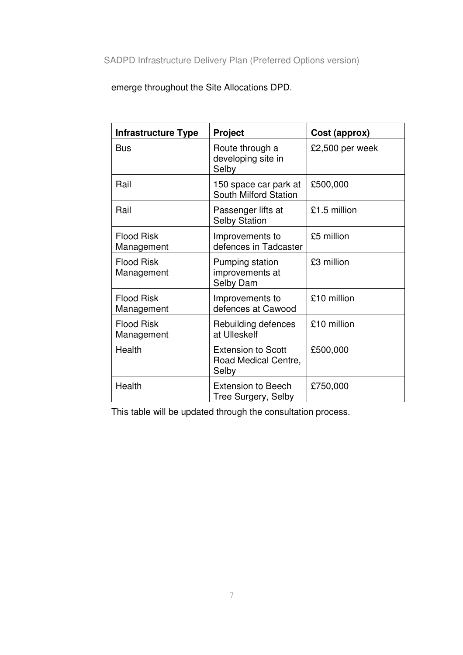emerge throughout the Site Allocations DPD.

| <b>Infrastructure Type</b>      | <b>Project</b>                                             | Cost (approx)   |
|---------------------------------|------------------------------------------------------------|-----------------|
| <b>Bus</b>                      | Route through a<br>developing site in<br>Selby             | £2,500 per week |
| Rail                            | 150 space car park at<br>South Milford Station             | £500,000        |
| Rail                            | Passenger lifts at<br><b>Selby Station</b>                 | £1.5 million    |
| <b>Flood Risk</b><br>Management | Improvements to<br>defences in Tadcaster                   | £5 million      |
| <b>Flood Risk</b><br>Management | Pumping station<br>improvements at<br>Selby Dam            | £3 million      |
| <b>Flood Risk</b><br>Management | Improvements to<br>defences at Cawood                      | £10 million     |
| <b>Flood Risk</b><br>Management | Rebuilding defences<br>at Ulleskelf                        | £10 million     |
| Health                          | <b>Extension to Scott</b><br>Road Medical Centre,<br>Selby | £500,000        |
| Health                          | Extension to Beech<br>Tree Surgery, Selby                  | £750,000        |

This table will be updated through the consultation process.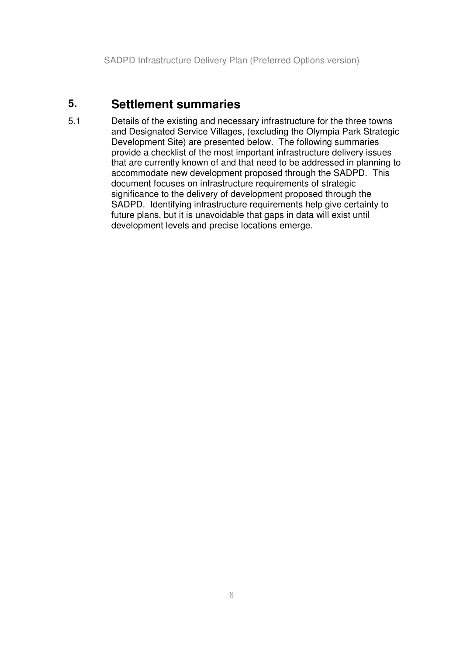## **5. Settlement summaries**

5.1 Details of the existing and necessary infrastructure for the three towns and Designated Service Villages, (excluding the Olympia Park Strategic Development Site) are presented below. The following summaries provide a checklist of the most important infrastructure delivery issues that are currently known of and that need to be addressed in planning to accommodate new development proposed through the SADPD. This document focuses on infrastructure requirements of strategic significance to the delivery of development proposed through the SADPD. Identifying infrastructure requirements help give certainty to future plans, but it is unavoidable that gaps in data will exist until development levels and precise locations emerge.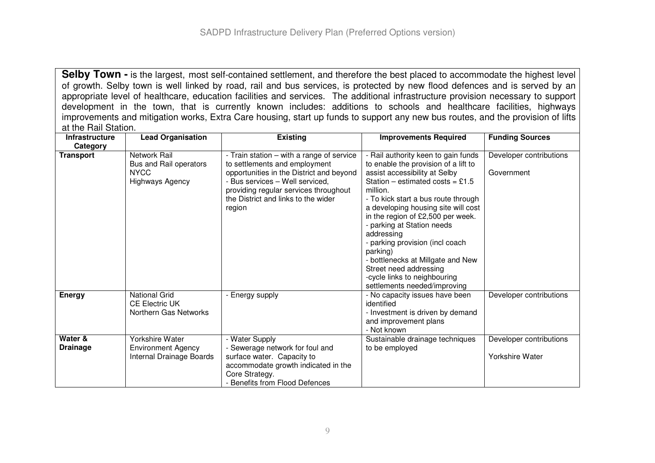**Selby Town -** is the largest, most self-contained settlement, and therefore the best placed to accommodate the highest level of growth. Selby town is well linked by road, rail and bus services, is protected by new flood defences and is served by an appropriate level of healthcare, education facilities and services. The additional infrastructure provision necessary to support development in the town, that is currently known includes: additions to schools and healthcare facilities, highways improvements and mitigation works, Extra Care housing, start up funds to support any new bus routes, and the provision of lifts at the Rail Station.

| <b>Infrastructure</b>      | <b>Lead Organisation</b>                                                               | <b>Existing</b>                                                                                                                                                                                                                                     | <b>Improvements Required</b>                                                                                                                                                                                                                                                                                                                                                                                                                                                                              | <b>Funding Sources</b>                            |
|----------------------------|----------------------------------------------------------------------------------------|-----------------------------------------------------------------------------------------------------------------------------------------------------------------------------------------------------------------------------------------------------|-----------------------------------------------------------------------------------------------------------------------------------------------------------------------------------------------------------------------------------------------------------------------------------------------------------------------------------------------------------------------------------------------------------------------------------------------------------------------------------------------------------|---------------------------------------------------|
| Category                   |                                                                                        |                                                                                                                                                                                                                                                     |                                                                                                                                                                                                                                                                                                                                                                                                                                                                                                           |                                                   |
| <b>Transport</b>           | <b>Network Rail</b><br>Bus and Rail operators<br><b>NYCC</b><br><b>Highways Agency</b> | - Train station - with a range of service<br>to settlements and employment<br>opportunities in the District and beyond<br>- Bus services - Well serviced,<br>providing regular services throughout<br>the District and links to the wider<br>region | - Rail authority keen to gain funds<br>to enable the provision of a lift to<br>assist accessibility at Selby<br>Station – estimated costs = £1.5<br>million.<br>- To kick start a bus route through<br>a developing housing site will cost<br>in the region of £2,500 per week.<br>- parking at Station needs<br>addressing<br>- parking provision (incl coach<br>parking)<br>- bottlenecks at Millgate and New<br>Street need addressing<br>-cycle links to neighbouring<br>settlements needed/improving | Developer contributions<br>Government             |
| <b>Energy</b>              | <b>National Grid</b><br><b>CE Electric UK</b><br>Northern Gas Networks                 | - Energy supply                                                                                                                                                                                                                                     | - No capacity issues have been<br>identified<br>- Investment is driven by demand<br>and improvement plans<br>- Not known                                                                                                                                                                                                                                                                                                                                                                                  | Developer contributions                           |
| Water &<br><b>Drainage</b> | <b>Yorkshire Water</b><br><b>Environment Agency</b><br>Internal Drainage Boards        | - Water Supply<br>- Sewerage network for foul and<br>surface water. Capacity to<br>accommodate growth indicated in the<br>Core Strategy.<br>- Benefits from Flood Defences                                                                          | Sustainable drainage techniques<br>to be employed                                                                                                                                                                                                                                                                                                                                                                                                                                                         | Developer contributions<br><b>Yorkshire Water</b> |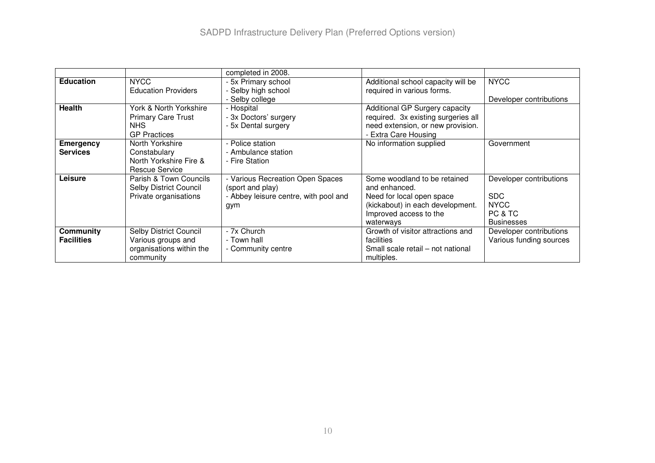|                   |                            | completed in 2008.                    |                                     |                         |
|-------------------|----------------------------|---------------------------------------|-------------------------------------|-------------------------|
| <b>Education</b>  | <b>NYCC</b>                | - 5x Primary school                   | Additional school capacity will be  | <b>NYCC</b>             |
|                   | <b>Education Providers</b> | Selby high school                     | required in various forms.          |                         |
|                   |                            | Selby college                         |                                     | Developer contributions |
| <b>Health</b>     | York & North Yorkshire     | - Hospital                            | Additional GP Surgery capacity      |                         |
|                   | <b>Primary Care Trust</b>  | - 3x Doctors' surgery                 | required. 3x existing surgeries all |                         |
|                   | NHS.                       | - 5x Dental surgery                   | need extension, or new provision.   |                         |
|                   | <b>GP Practices</b>        |                                       | - Extra Care Housing                |                         |
| Emergency         | North Yorkshire            | - Police station                      | No information supplied             | Government              |
| <b>Services</b>   | Constabulary               | - Ambulance station                   |                                     |                         |
|                   | North Yorkshire Fire &     | - Fire Station                        |                                     |                         |
|                   | <b>Rescue Service</b>      |                                       |                                     |                         |
| Leisure           | Parish & Town Councils     | - Various Recreation Open Spaces      | Some woodland to be retained        | Developer contributions |
|                   | Selby District Council     | (sport and play)                      | and enhanced.                       |                         |
|                   | Private organisations      | - Abbey leisure centre, with pool and | Need for local open space           | <b>SDC</b>              |
|                   |                            | gym                                   | (kickabout) in each development.    | <b>NYCC</b>             |
|                   |                            |                                       | Improved access to the              | PC & TC                 |
|                   |                            |                                       | waterways                           | <b>Businesses</b>       |
| <b>Community</b>  | Selby District Council     | - 7x Church                           | Growth of visitor attractions and   | Developer contributions |
| <b>Facilities</b> | Various groups and         | - Town hall                           | facilities                          | Various funding sources |
|                   | organisations within the   | - Community centre                    | Small scale retail - not national   |                         |
|                   | community                  |                                       | multiples.                          |                         |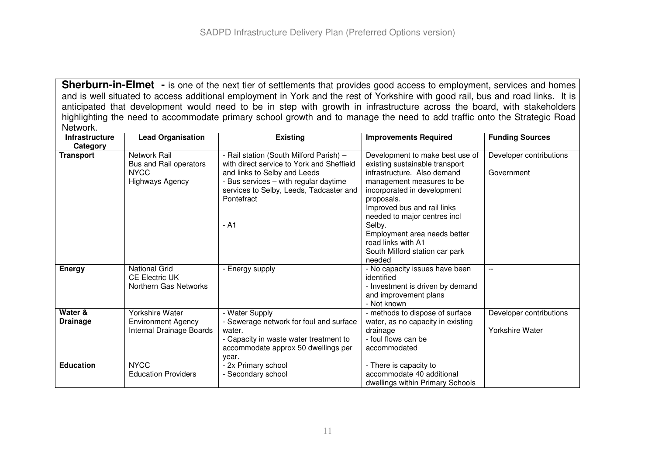**Sherburn-in-Elmet -** is one of the next tier of settlements that provides good access to employment, services and homes and is well situated to access additional employment in York and the rest of Yorkshire with good rail, bus and road links. It is anticipated that development would need to be in step with growth in infrastructure across the board, with stakeholders highlighting the need to accommodate primary school growth and to manage the need to add traffic onto the Strategic Road Network.

| <b>Infrastructure</b>      | <b>Lead Organisation</b>                                                        | <b>Existing</b>                                                                                                                                                                                                                | <b>Improvements Required</b>                                                                                                                                                                                                                                                                                                                          | <b>Funding Sources</b>                            |
|----------------------------|---------------------------------------------------------------------------------|--------------------------------------------------------------------------------------------------------------------------------------------------------------------------------------------------------------------------------|-------------------------------------------------------------------------------------------------------------------------------------------------------------------------------------------------------------------------------------------------------------------------------------------------------------------------------------------------------|---------------------------------------------------|
| Category                   |                                                                                 |                                                                                                                                                                                                                                |                                                                                                                                                                                                                                                                                                                                                       |                                                   |
| <b>Transport</b>           | Network Rail<br>Bus and Rail operators<br><b>NYCC</b><br><b>Highways Agency</b> | - Rail station (South Milford Parish) -<br>with direct service to York and Sheffield<br>and links to Selby and Leeds<br>- Bus services – with regular daytime<br>services to Selby, Leeds, Tadcaster and<br>Pontefract<br>- A1 | Development to make best use of<br>existing sustainable transport<br>infrastructure. Also demand<br>management measures to be<br>incorporated in development<br>proposals.<br>Improved bus and rail links<br>needed to major centres incl<br>Selby.<br>Employment area needs better<br>road links with A1<br>South Milford station car park<br>needed | Developer contributions<br>Government             |
| <b>Energy</b>              | National Grid<br><b>CE Electric UK</b><br>Northern Gas Networks                 | - Energy supply                                                                                                                                                                                                                | - No capacity issues have been<br>identified<br>- Investment is driven by demand<br>and improvement plans<br>- Not known                                                                                                                                                                                                                              |                                                   |
| Water &<br><b>Drainage</b> | Yorkshire Water<br><b>Environment Agency</b><br>Internal Drainage Boards        | - Water Supply<br>- Sewerage network for foul and surface<br>water.<br>- Capacity in waste water treatment to<br>accommodate approx 50 dwellings per<br>year.                                                                  | - methods to dispose of surface<br>water, as no capacity in existing<br>drainage<br>- foul flows can be<br>accommodated                                                                                                                                                                                                                               | Developer contributions<br><b>Yorkshire Water</b> |
| <b>Education</b>           | <b>NYCC</b><br><b>Education Providers</b>                                       | - 2x Primary school<br>- Secondary school                                                                                                                                                                                      | - There is capacity to<br>accommodate 40 additional<br>dwellings within Primary Schools                                                                                                                                                                                                                                                               |                                                   |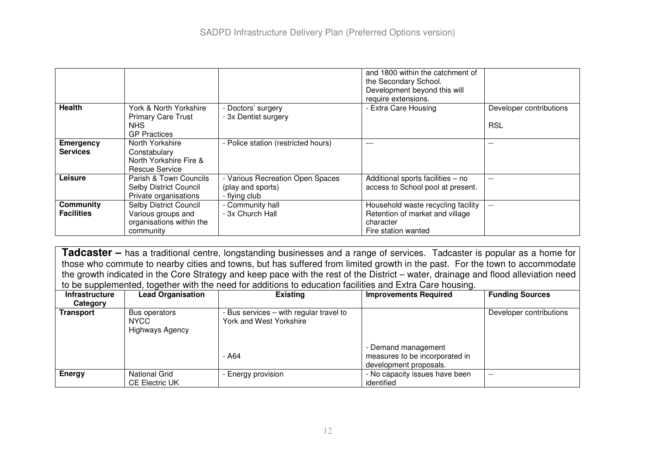|                                       |                                                                                       |                                                                        | and 1800 within the catchment of<br>the Secondary School.<br>Development beyond this will<br>require extensions. |                                       |
|---------------------------------------|---------------------------------------------------------------------------------------|------------------------------------------------------------------------|------------------------------------------------------------------------------------------------------------------|---------------------------------------|
| <b>Health</b>                         | York & North Yorkshire<br><b>Primary Care Trust</b><br>NHS.<br><b>GP Practices</b>    | - Doctors' surgery<br>- 3x Dentist surgery                             | - Extra Care Housing                                                                                             | Developer contributions<br><b>RSL</b> |
| <b>Emergency</b><br><b>Services</b>   | North Yorkshire<br>Constabulary<br>North Yorkshire Fire &<br>Rescue Service           | - Police station (restricted hours)                                    | $- - -$                                                                                                          | $- -$                                 |
| Leisure                               | Parish & Town Councils<br>Selby District Council<br>Private organisations             | - Various Recreation Open Spaces<br>(play and sports)<br>- flying club | Additional sports facilities - no<br>access to School pool at present.                                           |                                       |
| <b>Community</b><br><b>Facilities</b> | Selby District Council<br>Various groups and<br>organisations within the<br>community | - Community hall<br>- 3x Church Hall                                   | Household waste recycling facility<br>Retention of market and village<br>character<br>Fire station wanted        | $- -$                                 |

**Tadcaster –** has <sup>a</sup> traditional centre, longstanding businesses and <sup>a</sup> range of services. Tadcaster is popular as <sup>a</sup> home for those who commute to nearby cities and towns, but has suffered from limited growth in the past. For the town to accommodate the growth indicated in the Core Strategy and keep pace with the rest of the District – water, drainage and flood alleviation need to be supplemented, together with the need for additions to education facilities and Extra Care housing.

| <b>Infrastructure</b> | <b>Lead Organisation</b>                               | <b>Existing</b>                                                    | <b>Improvements Required</b>                                                    | <b>Funding Sources</b>   |
|-----------------------|--------------------------------------------------------|--------------------------------------------------------------------|---------------------------------------------------------------------------------|--------------------------|
| Category              |                                                        |                                                                    |                                                                                 |                          |
| Transport             | Bus operators<br><b>NYCC</b><br><b>Highways Agency</b> | - Bus services - with regular travel to<br>York and West Yorkshire |                                                                                 | Developer contributions  |
|                       |                                                        | - A64                                                              | - Demand management<br>measures to be incorporated in<br>development proposals. |                          |
| Energy                | <b>National Grid</b><br><b>CE Electric UK</b>          | - Energy provision                                                 | - No capacity issues have been<br>identified                                    | $\overline{\phantom{m}}$ |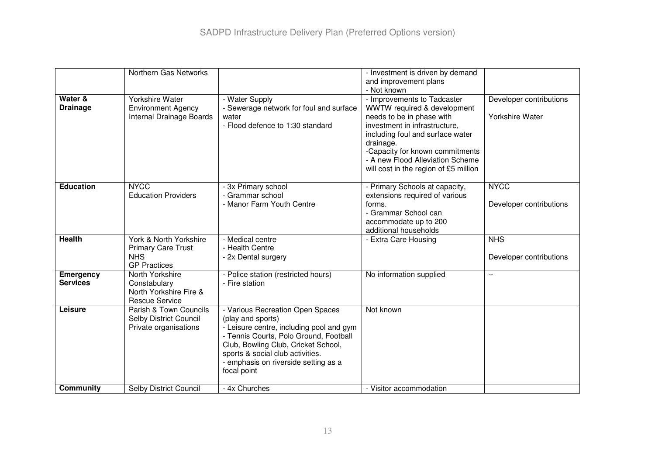|                                     | Northern Gas Networks                                                                    |                                                                                                                                                                                                                                                                               | - Investment is driven by demand<br>and improvement plans                                                                                                                                                                                                                                 |                                            |
|-------------------------------------|------------------------------------------------------------------------------------------|-------------------------------------------------------------------------------------------------------------------------------------------------------------------------------------------------------------------------------------------------------------------------------|-------------------------------------------------------------------------------------------------------------------------------------------------------------------------------------------------------------------------------------------------------------------------------------------|--------------------------------------------|
|                                     |                                                                                          |                                                                                                                                                                                                                                                                               | - Not known                                                                                                                                                                                                                                                                               |                                            |
| Water &<br><b>Drainage</b>          | <b>Yorkshire Water</b><br><b>Environment Agency</b><br>Internal Drainage Boards          | - Water Supply<br>- Sewerage network for foul and surface<br>water<br>- Flood defence to 1:30 standard                                                                                                                                                                        | - Improvements to Tadcaster<br>WWTW required & development<br>needs to be in phase with<br>investment in infrastructure,<br>including foul and surface water<br>drainage.<br>-Capacity for known commitments<br>- A new Flood Alleviation Scheme<br>will cost in the region of £5 million | Developer contributions<br>Yorkshire Water |
| <b>Education</b>                    | <b>NYCC</b><br><b>Education Providers</b>                                                | - 3x Primary school<br>- Grammar school<br>- Manor Farm Youth Centre                                                                                                                                                                                                          | - Primary Schools at capacity,<br>extensions required of various<br>forms.<br>- Grammar School can<br>accommodate up to 200<br>additional households                                                                                                                                      | <b>NYCC</b><br>Developer contributions     |
| <b>Health</b>                       | York & North Yorkshire<br><b>Primary Care Trust</b><br><b>NHS</b><br><b>GP Practices</b> | - Medical centre<br>- Health Centre<br>- 2x Dental surgery                                                                                                                                                                                                                    | - Extra Care Housing                                                                                                                                                                                                                                                                      | <b>NHS</b><br>Developer contributions      |
| <b>Emergency</b><br><b>Services</b> | North Yorkshire<br>Constabulary<br>North Yorkshire Fire &<br><b>Rescue Service</b>       | - Police station (restricted hours)<br>- Fire station                                                                                                                                                                                                                         | No information supplied                                                                                                                                                                                                                                                                   | $\sim$ $\sim$                              |
| Leisure                             | Parish & Town Councils<br>Selby District Council<br>Private organisations                | - Various Recreation Open Spaces<br>(play and sports)<br>- Leisure centre, including pool and gym<br>- Tennis Courts, Polo Ground, Football<br>Club, Bowling Club, Cricket School,<br>sports & social club activities.<br>- emphasis on riverside setting as a<br>focal point | Not known                                                                                                                                                                                                                                                                                 |                                            |
| Community                           | <b>Selby District Council</b>                                                            | - 4x Churches                                                                                                                                                                                                                                                                 | - Visitor accommodation                                                                                                                                                                                                                                                                   |                                            |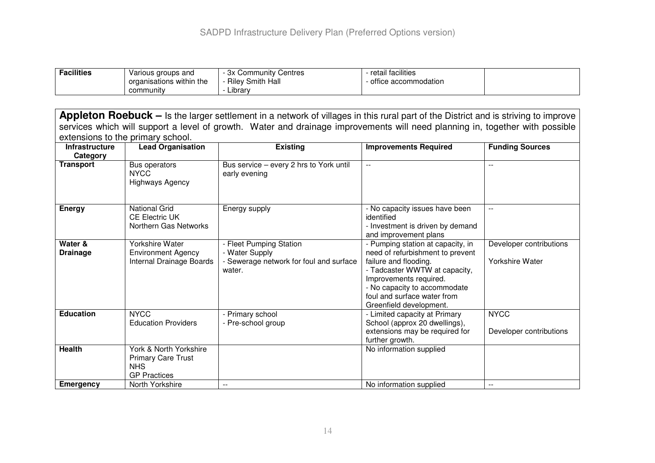| <b>Facilities</b> | Various groups and<br>organisations within the | 3x Community Centres<br><b>Riley Smith Hall</b> | retail facilities<br>office accommodation |  |
|-------------------|------------------------------------------------|-------------------------------------------------|-------------------------------------------|--|
|                   | community                                      | .<br>∟ibrarv                                    |                                           |  |

**Appleton Roebuck –** Is the larger settlement in <sup>a</sup> network of villages in this rural part of the District and is striving to improve services which will support <sup>a</sup> level of growth. Water and drainage improvements will need planning in, together with possible extensions to the primary school.

| <b>Infrastructure</b>      | <b>Lead Organisation</b>                                                                 | <b>Existing</b>                                                                                | <b>Improvements Required</b>                                                                                                                                                                                                                        | <b>Funding Sources</b>                     |
|----------------------------|------------------------------------------------------------------------------------------|------------------------------------------------------------------------------------------------|-----------------------------------------------------------------------------------------------------------------------------------------------------------------------------------------------------------------------------------------------------|--------------------------------------------|
| Category                   |                                                                                          |                                                                                                |                                                                                                                                                                                                                                                     |                                            |
| <b>Transport</b>           | Bus operators<br><b>NYCC</b><br><b>Highways Agency</b>                                   | Bus service - every 2 hrs to York until<br>early evening                                       | $\mathbf{u}$                                                                                                                                                                                                                                        | $\frac{1}{2}$                              |
| <b>Energy</b>              | <b>National Grid</b><br><b>CE Electric UK</b><br>Northern Gas Networks                   | Energy supply                                                                                  | - No capacity issues have been<br>identified<br>- Investment is driven by demand<br>and improvement plans                                                                                                                                           | $\sim$ $\sim$                              |
| Water &<br><b>Drainage</b> | Yorkshire Water<br><b>Environment Agency</b><br>Internal Drainage Boards                 | - Fleet Pumping Station<br>- Water Supply<br>- Sewerage network for foul and surface<br>water. | - Pumping station at capacity, in<br>need of refurbishment to prevent<br>failure and flooding.<br>- Tadcaster WWTW at capacity,<br>Improvements required.<br>- No capacity to accommodate<br>foul and surface water from<br>Greenfield development. | Developer contributions<br>Yorkshire Water |
| <b>Education</b>           | <b>NYCC</b><br><b>Education Providers</b>                                                | - Primary school<br>- Pre-school group                                                         | - Limited capacity at Primary<br>School (approx 20 dwellings),<br>extensions may be required for<br>further growth.                                                                                                                                 | <b>NYCC</b><br>Developer contributions     |
| <b>Health</b>              | York & North Yorkshire<br><b>Primary Care Trust</b><br><b>NHS</b><br><b>GP Practices</b> |                                                                                                | No information supplied                                                                                                                                                                                                                             |                                            |
| <b>Emergency</b>           | North Yorkshire                                                                          |                                                                                                | No information supplied                                                                                                                                                                                                                             |                                            |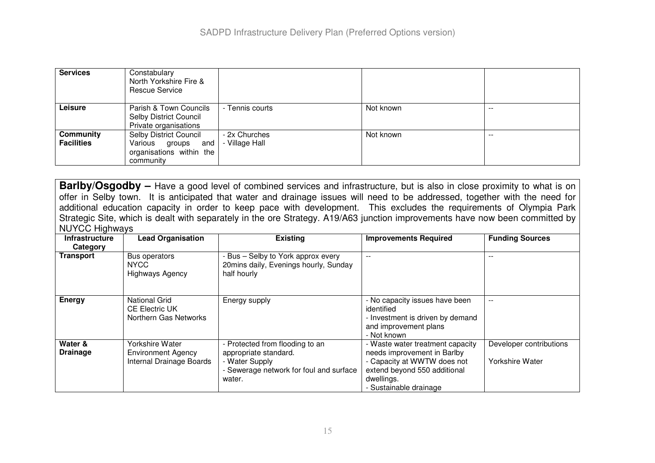| <b>Services</b>                | Constabulary<br>North Yorkshire Fire &<br><b>Rescue Service</b>                       |                                 |           |       |
|--------------------------------|---------------------------------------------------------------------------------------|---------------------------------|-----------|-------|
| <b>Leisure</b>                 | Parish & Town Councils<br>Selby District Council<br>Private organisations             | - Tennis courts                 | Not known | $- -$ |
| Community<br><b>Facilities</b> | Selby District Council<br>Various groups and<br>organisations within the<br>community | - 2x Churches<br>- Village Hall | Not known | $- -$ |

**Barlby/Osgodby** – Have a good level of combined services and infrastructure, but is also in close proximity to what is on offer in Selby town. It is anticipated that water and drainage issues will need to be addressed, together with the need for additional education capacity in order to keep pace with development. This excludes the requirements of Olympia Park Strategic Site, which is dealt with separately in the ore Strategy. A19/A63 junction improvements have now been committed by NUYCC Highways

| <b>Infrastructure</b>      | <b>Lead Organisation</b>                                                 | <b>Existing</b>                                                                                                                 | <b>Improvements Required</b>                                                                                                                                           | <b>Funding Sources</b>                     |
|----------------------------|--------------------------------------------------------------------------|---------------------------------------------------------------------------------------------------------------------------------|------------------------------------------------------------------------------------------------------------------------------------------------------------------------|--------------------------------------------|
| Category                   |                                                                          |                                                                                                                                 |                                                                                                                                                                        |                                            |
| <b>Transport</b>           | Bus operators<br>NYCC<br><b>Highways Agency</b>                          | - Bus – Selby to York approx every<br>20mins daily, Evenings hourly, Sunday<br>half hourly                                      | $-$                                                                                                                                                                    | $- -$                                      |
| <b>Energy</b>              | <b>National Grid</b><br><b>CE Electric UK</b><br>Northern Gas Networks   | Energy supply                                                                                                                   | - No capacity issues have been<br>identified<br>- Investment is driven by demand<br>and improvement plans<br>- Not known                                               |                                            |
| Water &<br><b>Drainage</b> | Yorkshire Water<br><b>Environment Agency</b><br>Internal Drainage Boards | - Protected from flooding to an<br>appropriate standard.<br>- Water Supply<br>- Sewerage network for foul and surface<br>water. | - Waste water treatment capacity<br>needs improvement in Barlby<br>- Capacity at WWTW does not<br>extend beyond 550 additional<br>dwellings.<br>- Sustainable drainage | Developer contributions<br>Yorkshire Water |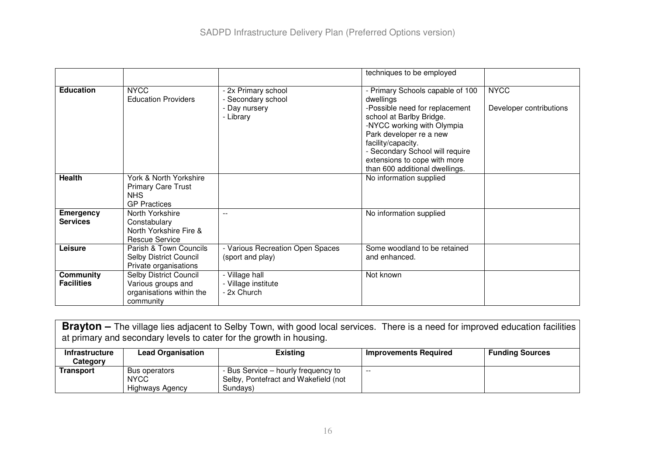|                                       |                                                                                          |                                                                       | techniques to be employed                                                                                                                                                                                                                                                                       |                                        |
|---------------------------------------|------------------------------------------------------------------------------------------|-----------------------------------------------------------------------|-------------------------------------------------------------------------------------------------------------------------------------------------------------------------------------------------------------------------------------------------------------------------------------------------|----------------------------------------|
| <b>Education</b>                      | <b>NYCC</b><br><b>Education Providers</b>                                                | - 2x Primary school<br>Secondary school<br>- Day nursery<br>- Library | - Primary Schools capable of 100<br>dwellings<br>-Possible need for replacement<br>school at Barlby Bridge.<br>-NYCC working with Olympia<br>Park developer re a new<br>facility/capacity.<br>- Secondary School will require<br>extensions to cope with more<br>than 600 additional dwellings. | <b>NYCC</b><br>Developer contributions |
| <b>Health</b>                         | York & North Yorkshire<br><b>Primary Care Trust</b><br><b>NHS</b><br><b>GP Practices</b> |                                                                       | No information supplied                                                                                                                                                                                                                                                                         |                                        |
| <b>Emergency</b><br><b>Services</b>   | North Yorkshire<br>Constabulary<br>North Yorkshire Fire &<br>Rescue Service              |                                                                       | No information supplied                                                                                                                                                                                                                                                                         |                                        |
| Leisure                               | Parish & Town Councils<br><b>Selby District Council</b><br>Private organisations         | - Various Recreation Open Spaces<br>(sport and play)                  | Some woodland to be retained<br>and enhanced.                                                                                                                                                                                                                                                   |                                        |
| <b>Community</b><br><b>Facilities</b> | Selby District Council<br>Various groups and<br>organisations within the<br>community    | - Village hall<br>- Village institute<br>- 2x Church                  | Not known                                                                                                                                                                                                                                                                                       |                                        |

**Brayton –** The village lies adjacent to Selby Town, with good local services. There is <sup>a</sup> need for improved education facilities at primary and secondary levels to cater for the growth in housing.

| <b>Infrastructure</b><br>Category | <b>Lead Organisation</b>                               | <b>Existing</b>                                                                         | Improvements Required | <b>Funding Sources</b> |
|-----------------------------------|--------------------------------------------------------|-----------------------------------------------------------------------------------------|-----------------------|------------------------|
| Transport                         | Bus operators<br><b>NYCC</b><br><b>Highways Agency</b> | - Bus Service – hourly frequency to<br>Selby, Pontefract and Wakefield (not<br>Sundavs) | $-$                   |                        |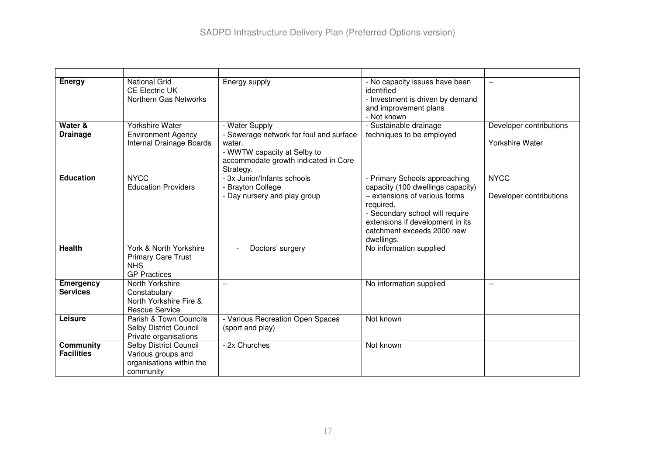| <b>Energy</b>                         | <b>National Grid</b><br><b>CE Electric UK</b><br>Northern Gas Networks                   | Energy supply                                                                                                                                           | - No capacity issues have been<br>identified<br>- Investment is driven by demand<br>and improvement plans<br>- Not known                                                                                                            | $\sim$ $\sim$                              |
|---------------------------------------|------------------------------------------------------------------------------------------|---------------------------------------------------------------------------------------------------------------------------------------------------------|-------------------------------------------------------------------------------------------------------------------------------------------------------------------------------------------------------------------------------------|--------------------------------------------|
| Water &<br><b>Drainage</b>            | Yorkshire Water<br><b>Environment Agency</b><br>Internal Drainage Boards                 | - Water Supply<br>- Sewerage network for foul and surface<br>water.<br>- WWTW capacity at Selby to<br>accommodate growth indicated in Core<br>Strategy. | - Sustainable drainage<br>techniques to be employed                                                                                                                                                                                 | Developer contributions<br>Yorkshire Water |
| <b>Education</b>                      | <b>NYCC</b><br><b>Education Providers</b>                                                | - 3x Junior/Infants schools<br>- Brayton College<br>- Day nursery and play group                                                                        | - Primary Schools approaching<br>capacity (100 dwellings capacity)<br>- extensions of various forms<br>required.<br>- Secondary school will require<br>extensions if development in its<br>catchment exceeds 2000 new<br>dwellings. | <b>NYCC</b><br>Developer contributions     |
| <b>Health</b>                         | York & North Yorkshire<br><b>Primary Care Trust</b><br><b>NHS</b><br><b>GP Practices</b> | Doctors' surgery                                                                                                                                        | No information supplied                                                                                                                                                                                                             |                                            |
| <b>Emergency</b><br><b>Services</b>   | North Yorkshire<br>Constabulary<br>North Yorkshire Fire &<br><b>Rescue Service</b>       | $-$                                                                                                                                                     | No information supplied                                                                                                                                                                                                             | $\overline{a}$                             |
| Leisure                               | Parish & Town Councils<br>Selby District Council<br>Private organisations                | - Various Recreation Open Spaces<br>(sport and play)                                                                                                    | Not known                                                                                                                                                                                                                           |                                            |
| <b>Community</b><br><b>Facilities</b> | Selby District Council<br>Various groups and<br>organisations within the<br>community    | - 2x Churches                                                                                                                                           | Not known                                                                                                                                                                                                                           |                                            |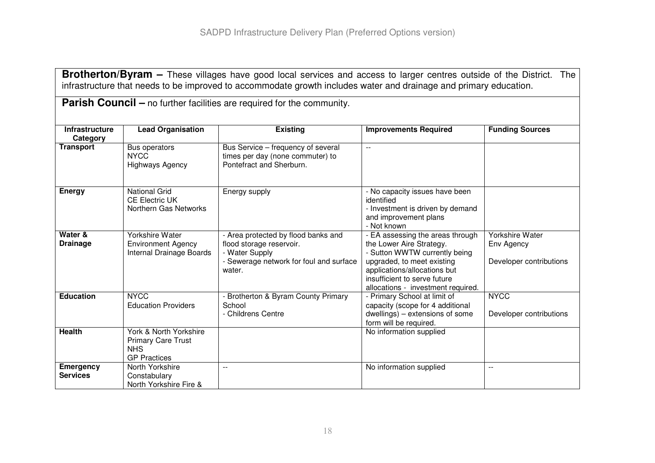**Brotherton/Byram –** These villages have good local services and access to larger centres outside of the District. The infrastructure that needs to be improved to accommodate growth includes water and drainage and primary education.

| <b>Parish Council</b> – no further facilities are required for the community. |                                                                                          |                                                                                                                                        |                                                                                                                                                                                                                                   |                                                          |
|-------------------------------------------------------------------------------|------------------------------------------------------------------------------------------|----------------------------------------------------------------------------------------------------------------------------------------|-----------------------------------------------------------------------------------------------------------------------------------------------------------------------------------------------------------------------------------|----------------------------------------------------------|
| <b>Infrastructure</b><br>Category                                             | <b>Lead Organisation</b>                                                                 | <b>Existing</b>                                                                                                                        | <b>Improvements Required</b>                                                                                                                                                                                                      | <b>Funding Sources</b>                                   |
| <b>Transport</b>                                                              | Bus operators<br><b>NYCC</b><br><b>Highways Agency</b>                                   | Bus Service – frequency of several<br>times per day (none commuter) to<br>Pontefract and Sherburn.                                     | $\sim$ $\sim$                                                                                                                                                                                                                     |                                                          |
| <b>Energy</b>                                                                 | <b>National Grid</b><br><b>CE Electric UK</b><br>Northern Gas Networks                   | Energy supply                                                                                                                          | - No capacity issues have been<br>identified<br>- Investment is driven by demand<br>and improvement plans<br>- Not known                                                                                                          |                                                          |
| Water &<br><b>Drainage</b>                                                    | Yorkshire Water<br><b>Environment Agency</b><br>Internal Drainage Boards                 | - Area protected by flood banks and<br>flood storage reservoir.<br>- Water Supply<br>- Sewerage network for foul and surface<br>water. | - EA assessing the areas through<br>the Lower Aire Strategy.<br>- Sutton WWTW currently being<br>upgraded, to meet existing<br>applications/allocations but<br>insufficient to serve future<br>allocations - investment required. | Yorkshire Water<br>Env Agency<br>Developer contributions |
| <b>Education</b>                                                              | <b>NYCC</b><br><b>Education Providers</b>                                                | - Brotherton & Byram County Primary<br>School<br>- Childrens Centre                                                                    | - Primary School at limit of<br>capacity (scope for 4 additional<br>dwellings) - extensions of some<br>form will be required.                                                                                                     | <b>NYCC</b><br>Developer contributions                   |
| <b>Health</b>                                                                 | York & North Yorkshire<br><b>Primary Care Trust</b><br><b>NHS</b><br><b>GP</b> Practices |                                                                                                                                        | No information supplied                                                                                                                                                                                                           |                                                          |
| <b>Emergency</b><br><b>Services</b>                                           | North Yorkshire<br>Constabulary<br>North Yorkshire Fire &                                | $\overline{a}$                                                                                                                         | No information supplied                                                                                                                                                                                                           | $-$                                                      |

**ParishCouncil –** no further facilities are required for the community.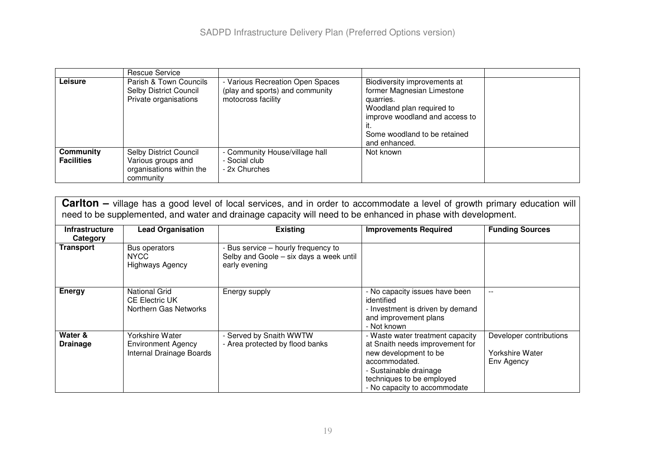|                                | Rescue Service                                                                        |                                                                                         |                                                                                                                                                                                         |  |
|--------------------------------|---------------------------------------------------------------------------------------|-----------------------------------------------------------------------------------------|-----------------------------------------------------------------------------------------------------------------------------------------------------------------------------------------|--|
| Leisure                        | Parish & Town Councils<br>Selby District Council<br>Private organisations             | Various Recreation Open Spaces<br>(play and sports) and community<br>motocross facility | Biodiversity improvements at<br>former Magnesian Limestone<br>quarries.<br>Woodland plan required to<br>improve woodland and access to<br>Some woodland to be retained<br>and enhanced. |  |
| Community<br><b>Facilities</b> | Selby District Council<br>Various groups and<br>organisations within the<br>community | - Community House/village hall<br>- Social club<br>- 2x Churches                        | Not known                                                                                                                                                                               |  |

| <b>Carlton</b> – village has a good level of local services, and in order to accommodate a level of growth primary education will<br>need to be supplemented, and water and drainage capacity will need to be enhanced in phase with development. |                                                                          |                                                                                                 |                                                                                                                                                                                                      |                                                          |
|---------------------------------------------------------------------------------------------------------------------------------------------------------------------------------------------------------------------------------------------------|--------------------------------------------------------------------------|-------------------------------------------------------------------------------------------------|------------------------------------------------------------------------------------------------------------------------------------------------------------------------------------------------------|----------------------------------------------------------|
| <b>Infrastructure</b><br>Category                                                                                                                                                                                                                 | <b>Lead Organisation</b>                                                 | <b>Existing</b>                                                                                 | <b>Improvements Required</b>                                                                                                                                                                         | <b>Funding Sources</b>                                   |
| Transport                                                                                                                                                                                                                                         | Bus operators<br><b>NYCC</b><br><b>Highways Agency</b>                   | - Bus service - hourly frequency to<br>Selby and Goole - six days a week until<br>early evening |                                                                                                                                                                                                      |                                                          |
| <b>Energy</b>                                                                                                                                                                                                                                     | <b>National Grid</b><br><b>CE Electric UK</b><br>Northern Gas Networks   | Energy supply                                                                                   | - No capacity issues have been<br>identified<br>- Investment is driven by demand<br>and improvement plans<br>- Not known                                                                             |                                                          |
| Water &<br><b>Drainage</b>                                                                                                                                                                                                                        | Yorkshire Water<br><b>Environment Agency</b><br>Internal Drainage Boards | - Served by Snaith WWTW<br>- Area protected by flood banks                                      | - Waste water treatment capacity<br>at Snaith needs improvement for<br>new development to be<br>accommodated.<br>- Sustainable drainage<br>techniques to be employed<br>- No capacity to accommodate | Developer contributions<br>Yorkshire Water<br>Env Agency |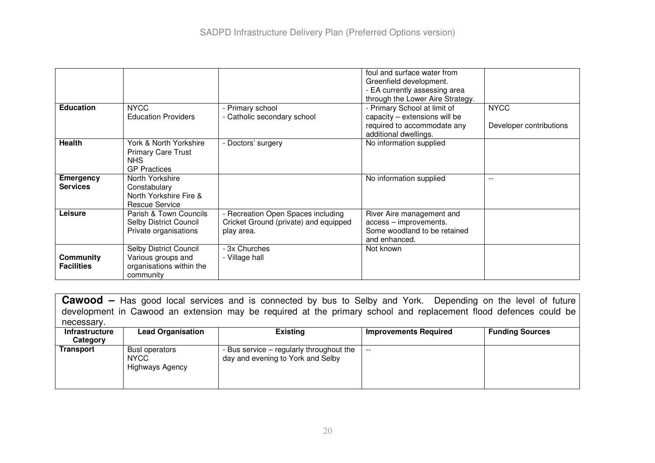|                   |                                         |                                       | foul and surface water from<br>Greenfield development. |                         |
|-------------------|-----------------------------------------|---------------------------------------|--------------------------------------------------------|-------------------------|
|                   |                                         |                                       | - EA currently assessing area                          |                         |
|                   |                                         |                                       | through the Lower Aire Strategy.                       |                         |
| <b>Education</b>  | <b>NYCC</b>                             | - Primary school                      | - Primary School at limit of                           | <b>NYCC</b>             |
|                   | <b>Education Providers</b>              | - Catholic secondary school           | capacity – extensions will be                          |                         |
|                   |                                         |                                       | required to accommodate any                            | Developer contributions |
|                   |                                         |                                       | additional dwellings.                                  |                         |
| <b>Health</b>     | York & North Yorkshire                  | - Doctors' surgery                    | No information supplied                                |                         |
|                   | <b>Primary Care Trust</b><br><b>NHS</b> |                                       |                                                        |                         |
|                   | <b>GP Practices</b>                     |                                       |                                                        |                         |
| <b>Emergency</b>  | North Yorkshire                         |                                       | No information supplied                                | $-$                     |
| <b>Services</b>   | Constabulary                            |                                       |                                                        |                         |
|                   | North Yorkshire Fire &                  |                                       |                                                        |                         |
|                   | Rescue Service                          |                                       |                                                        |                         |
| Leisure           | Parish & Town Councils                  | - Recreation Open Spaces including    | River Aire management and                              |                         |
|                   | Selby District Council                  | Cricket Ground (private) and equipped | access - improvements.                                 |                         |
|                   | Private organisations                   | play area.                            | Some woodland to be retained                           |                         |
|                   |                                         |                                       | and enhanced.                                          |                         |
|                   | Selby District Council                  | - 3x Churches                         | Not known                                              |                         |
| <b>Community</b>  | Various groups and                      | - Village hall                        |                                                        |                         |
| <b>Facilities</b> | organisations within the                |                                       |                                                        |                         |
|                   | community                               |                                       |                                                        |                         |

**Cawood –** Has good local services and is connected by bus to Selby and York. Depending on the level of future development in Cawood an extension may be required at the primary school and replacement flood defences could be necessary.

| <b>Infrastructure</b><br>Category | <b>Lead Organisation</b>                                | <b>Existing</b>                                                               | <b>Improvements Required</b> | <b>Funding Sources</b> |
|-----------------------------------|---------------------------------------------------------|-------------------------------------------------------------------------------|------------------------------|------------------------|
| <b>Transport</b>                  | Busl operators<br><b>NYCC</b><br><b>Highways Agency</b> | - Bus service – regularly throughout the<br>day and evening to York and Selby | $- -$                        |                        |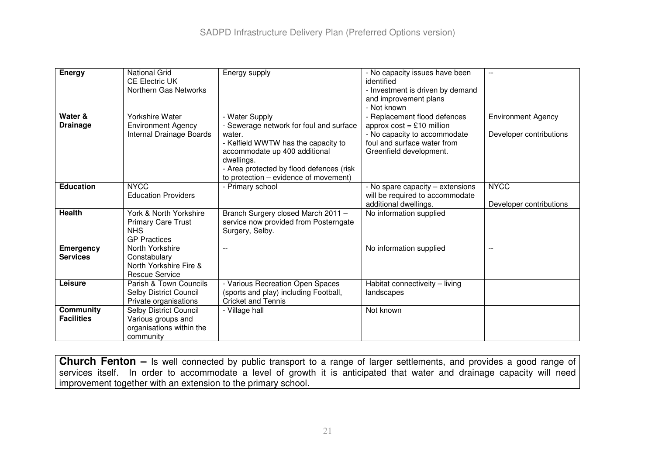| <b>Energy</b>                       | National Grid<br><b>CE Electric UK</b><br>Northern Gas Networks                          | Energy supply                                                                                                                                                                                                                                  | - No capacity issues have been<br>identified<br>- Investment is driven by demand<br>and improvement plans<br>- Not known                              |                                                      |
|-------------------------------------|------------------------------------------------------------------------------------------|------------------------------------------------------------------------------------------------------------------------------------------------------------------------------------------------------------------------------------------------|-------------------------------------------------------------------------------------------------------------------------------------------------------|------------------------------------------------------|
| Water &<br><b>Drainage</b>          | Yorkshire Water<br><b>Environment Agency</b><br>Internal Drainage Boards                 | - Water Supply<br>- Sewerage network for foul and surface<br>water.<br>- Kelfield WWTW has the capacity to<br>accommodate up 400 additional<br>dwellings.<br>- Area protected by flood defences (risk<br>to protection – evidence of movement) | - Replacement flood defences<br>approx $cost = £10$ million<br>- No capacity to accommodate<br>foul and surface water from<br>Greenfield development. | <b>Environment Agency</b><br>Developer contributions |
| <b>Education</b>                    | <b>NYCC</b><br><b>Education Providers</b>                                                | - Primary school                                                                                                                                                                                                                               | - No spare capacity – extensions<br>will be required to accommodate<br>additional dwellings.                                                          | <b>NYCC</b><br>Developer contributions               |
| <b>Health</b>                       | York & North Yorkshire<br><b>Primary Care Trust</b><br><b>NHS</b><br><b>GP Practices</b> | Branch Surgery closed March 2011 -<br>service now provided from Posterngate<br>Surgery, Selby.                                                                                                                                                 | No information supplied                                                                                                                               |                                                      |
| <b>Emergency</b><br><b>Services</b> | North Yorkshire<br>Constabulary<br>North Yorkshire Fire &<br><b>Rescue Service</b>       |                                                                                                                                                                                                                                                | No information supplied                                                                                                                               | $\overline{a}$                                       |
| Leisure                             | Parish & Town Councils<br>Selby District Council<br>Private organisations                | - Various Recreation Open Spaces<br>(sports and play) including Football,<br><b>Cricket and Tennis</b>                                                                                                                                         | Habitat connectiveity - living<br>landscapes                                                                                                          |                                                      |
| Community<br><b>Facilities</b>      | Selby District Council<br>Various groups and<br>organisations within the<br>community    | - Village hall                                                                                                                                                                                                                                 | Not known                                                                                                                                             |                                                      |

**Church Fenton –** Is well connected by public transport to <sup>a</sup> range of larger settlements, and provides <sup>a</sup> good range of services itself. In order to accommodate <sup>a</sup> level of growth it is anticipated that water and drainage capacity will need improvement together with an extension to the primary school.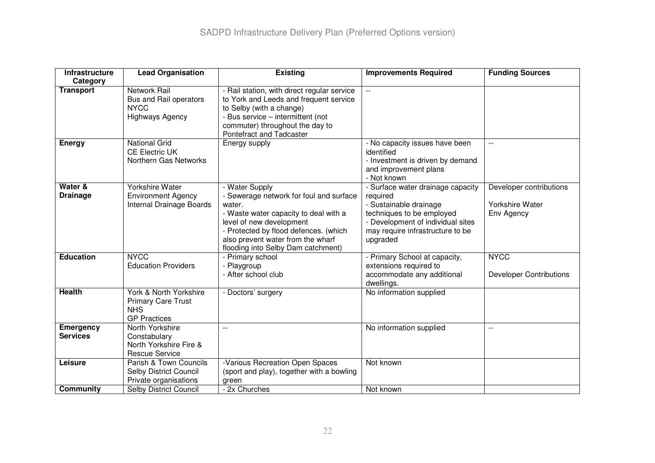| <b>Infrastructure</b>               | <b>Lead Organisation</b>                                                                 | <b>Existing</b>                                                                                                                                                                                                                                              | <b>Improvements Required</b>                                                                                                                                                              | <b>Funding Sources</b>                                   |
|-------------------------------------|------------------------------------------------------------------------------------------|--------------------------------------------------------------------------------------------------------------------------------------------------------------------------------------------------------------------------------------------------------------|-------------------------------------------------------------------------------------------------------------------------------------------------------------------------------------------|----------------------------------------------------------|
| Category                            |                                                                                          |                                                                                                                                                                                                                                                              |                                                                                                                                                                                           |                                                          |
| <b>Transport</b>                    | <b>Network Rail</b><br>Bus and Rail operators<br><b>NYCC</b><br><b>Highways Agency</b>   | - Rail station, with direct regular service<br>to York and Leeds and frequent service<br>to Selby (with a change)<br>- Bus service - intermittent (not<br>commuter) throughout the day to<br>Pontefract and Tadcaster                                        | $\overline{\phantom{a}}$                                                                                                                                                                  |                                                          |
| <b>Energy</b>                       | <b>National Grid</b><br><b>CE Electric UK</b><br>Northern Gas Networks                   | Energy supply                                                                                                                                                                                                                                                | - No capacity issues have been<br>identified<br>- Investment is driven by demand<br>and improvement plans<br>- Not known                                                                  | $\mathbf{L}$                                             |
| Water &<br><b>Drainage</b>          | <b>Yorkshire Water</b><br><b>Environment Agency</b><br>Internal Drainage Boards          | - Water Supply<br>- Sewerage network for foul and surface<br>water.<br>- Waste water capacity to deal with a<br>level of new development<br>- Protected by flood defences. (which<br>also prevent water from the wharf<br>flooding into Selby Dam catchment) | - Surface water drainage capacity<br>required<br>- Sustainable drainage<br>techniques to be employed<br>- Development of individual sites<br>may require infrastructure to be<br>upgraded | Developer contributions<br>Yorkshire Water<br>Env Agency |
| <b>Education</b>                    | <b>NYCC</b><br><b>Education Providers</b>                                                | - Primary school<br>- Playgroup<br>- After school club                                                                                                                                                                                                       | - Primary School at capacity,<br>extensions required to<br>accommodate any additional<br>dwellings.                                                                                       | <b>NYCC</b><br><b>Developer Contributions</b>            |
| <b>Health</b>                       | York & North Yorkshire<br><b>Primary Care Trust</b><br><b>NHS</b><br><b>GP Practices</b> | - Doctors' surgery                                                                                                                                                                                                                                           | No information supplied                                                                                                                                                                   |                                                          |
| <b>Emergency</b><br><b>Services</b> | North Yorkshire<br>Constabulary<br>North Yorkshire Fire &<br><b>Rescue Service</b>       | $\sim$                                                                                                                                                                                                                                                       | No information supplied                                                                                                                                                                   | $\mathbf{L}$                                             |
| Leisure                             | Parish & Town Councils<br>Selby District Council<br>Private organisations                | -Various Recreation Open Spaces<br>(sport and play), together with a bowling<br>green                                                                                                                                                                        | Not known                                                                                                                                                                                 |                                                          |
| Community                           | Selby District Council                                                                   | - 2x Churches                                                                                                                                                                                                                                                | Not known                                                                                                                                                                                 |                                                          |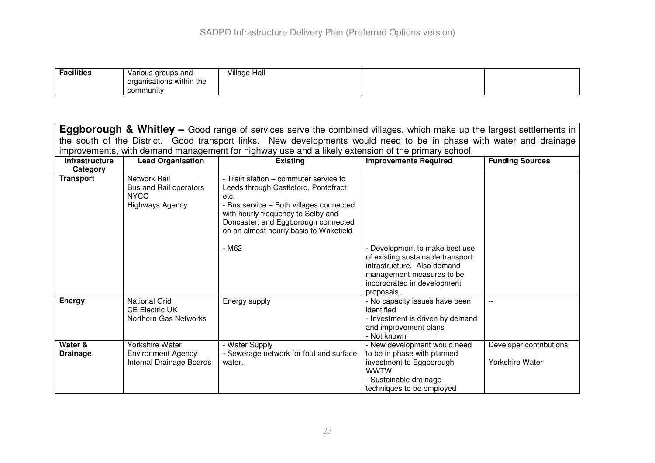| <b>Facilities</b> | Various groups and<br>organisations within the | <b>Village Hall</b> |  |
|-------------------|------------------------------------------------|---------------------|--|
|                   | community                                      |                     |  |

| <b>Eggborough &amp; Whitley</b> – Good range of services serve the combined villages, which make up the largest settlements in |                                                                                        |                                                                                                                                                                                                                                                         |                                                                                                                                                                              |                                            |  |
|--------------------------------------------------------------------------------------------------------------------------------|----------------------------------------------------------------------------------------|---------------------------------------------------------------------------------------------------------------------------------------------------------------------------------------------------------------------------------------------------------|------------------------------------------------------------------------------------------------------------------------------------------------------------------------------|--------------------------------------------|--|
|                                                                                                                                |                                                                                        | the south of the District. Good transport links. New developments would need to be in phase with water and drainage                                                                                                                                     |                                                                                                                                                                              |                                            |  |
|                                                                                                                                |                                                                                        | improvements, with demand management for highway use and a likely extension of the primary school.                                                                                                                                                      |                                                                                                                                                                              |                                            |  |
| <b>Infrastructure</b>                                                                                                          | <b>Lead Organisation</b>                                                               | <b>Existing</b>                                                                                                                                                                                                                                         | <b>Improvements Required</b>                                                                                                                                                 | <b>Funding Sources</b>                     |  |
| Category                                                                                                                       |                                                                                        |                                                                                                                                                                                                                                                         |                                                                                                                                                                              |                                            |  |
| <b>Transport</b>                                                                                                               | <b>Network Rail</b><br>Bus and Rail operators<br><b>NYCC</b><br><b>Highways Agency</b> | - Train station – commuter service to<br>Leeds through Castleford, Pontefract<br>etc.<br>- Bus service - Both villages connected<br>with hourly frequency to Selby and<br>Doncaster, and Eggborough connected<br>on an almost hourly basis to Wakefield |                                                                                                                                                                              |                                            |  |
|                                                                                                                                |                                                                                        | - M62                                                                                                                                                                                                                                                   | - Development to make best use<br>of existing sustainable transport<br>infrastructure. Also demand<br>management measures to be<br>incorporated in development<br>proposals. |                                            |  |
| <b>Energy</b>                                                                                                                  | <b>National Grid</b><br><b>CE Electric UK</b><br>Northern Gas Networks                 | Energy supply                                                                                                                                                                                                                                           | - No capacity issues have been<br>identified<br>- Investment is driven by demand<br>and improvement plans<br>- Not known                                                     |                                            |  |
| Water &<br><b>Drainage</b>                                                                                                     | Yorkshire Water<br><b>Environment Agency</b><br>Internal Drainage Boards               | - Water Supply<br>- Sewerage network for foul and surface<br>water.                                                                                                                                                                                     | - New development would need<br>to be in phase with planned<br>investment to Eggborough<br>WWTW.<br>- Sustainable drainage<br>techniques to be employed                      | Developer contributions<br>Yorkshire Water |  |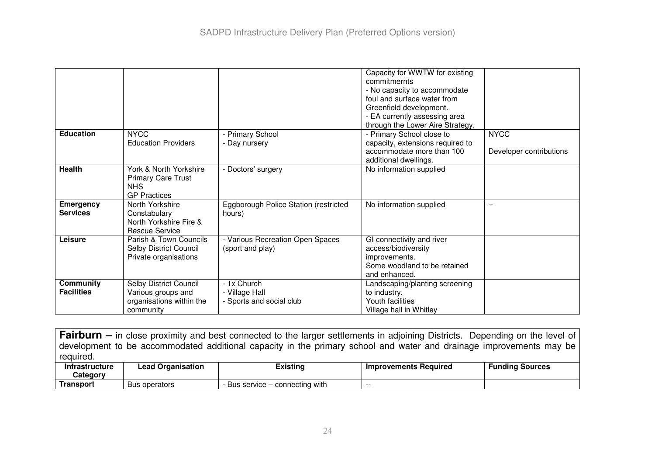|                   |                                         |                                       | Capacity for WWTW for existing<br>commitmernts |                         |
|-------------------|-----------------------------------------|---------------------------------------|------------------------------------------------|-------------------------|
|                   |                                         |                                       | - No capacity to accommodate                   |                         |
|                   |                                         |                                       | foul and surface water from                    |                         |
|                   |                                         |                                       | Greenfield development.                        |                         |
|                   |                                         |                                       | - EA currently assessing area                  |                         |
|                   |                                         |                                       | through the Lower Aire Strategy.               |                         |
| <b>Education</b>  | <b>NYCC</b>                             | - Primary School                      | - Primary School close to                      | <b>NYCC</b>             |
|                   | <b>Education Providers</b>              | - Day nursery                         | capacity, extensions required to               |                         |
|                   |                                         |                                       | accommodate more than 100                      | Developer contributions |
|                   |                                         |                                       | additional dwellings.                          |                         |
| <b>Health</b>     | York & North Yorkshire                  | - Doctors' surgery                    | No information supplied                        |                         |
|                   | <b>Primary Care Trust</b><br><b>NHS</b> |                                       |                                                |                         |
|                   | <b>GP</b> Practices                     |                                       |                                                |                         |
| <b>Emergency</b>  | North Yorkshire                         | Eggborough Police Station (restricted | No information supplied                        | $\sim$ $\sim$           |
| <b>Services</b>   | Constabulary                            | hours)                                |                                                |                         |
|                   | North Yorkshire Fire &                  |                                       |                                                |                         |
|                   | Rescue Service                          |                                       |                                                |                         |
| Leisure           | Parish & Town Councils                  | - Various Recreation Open Spaces      | GI connectivity and river                      |                         |
|                   | Selby District Council                  | (sport and play)                      | access/biodiversity                            |                         |
|                   | Private organisations                   |                                       | improvements.                                  |                         |
|                   |                                         |                                       | Some woodland to be retained                   |                         |
|                   |                                         |                                       | and enhanced.                                  |                         |
| <b>Community</b>  | Selby District Council                  | - 1x Church                           | Landscaping/planting screening                 |                         |
| <b>Facilities</b> | Various groups and                      | - Village Hall                        | to industry.                                   |                         |
|                   | organisations within the                | - Sports and social club              | Youth facilities                               |                         |
|                   | community                               |                                       | Village hall in Whitley                        |                         |

**Fairburn –** in close proximity and best connected to the larger settlements in adjoining Districts. Depending on the level of development to be accommodated additional capacity in the primary school and water and drainage improvements may be required.

| Intrastructure | <b>Lead Organisation</b> | Existina                      | Improvements Required | Funding Sources |
|----------------|--------------------------|-------------------------------|-----------------------|-----------------|
| Category       |                          |                               |                       |                 |
| Transport      | <b>Bus operators</b>     | Bus service – connecting with | $- -$                 |                 |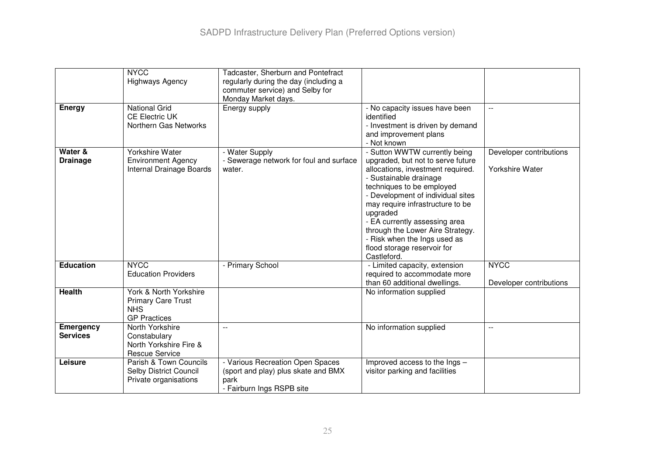|                                     | <b>NYCC</b><br><b>Highways Agency</b>                                                    | Tadcaster, Sherburn and Pontefract<br>regularly during the day (including a<br>commuter service) and Selby for |                                                                                                                                                                                                                                                                                                                                                                                                        |                                            |
|-------------------------------------|------------------------------------------------------------------------------------------|----------------------------------------------------------------------------------------------------------------|--------------------------------------------------------------------------------------------------------------------------------------------------------------------------------------------------------------------------------------------------------------------------------------------------------------------------------------------------------------------------------------------------------|--------------------------------------------|
| <b>Energy</b>                       | <b>National Grid</b><br><b>CE Electric UK</b><br>Northern Gas Networks                   | Monday Market days.<br>Energy supply                                                                           | - No capacity issues have been<br>identified<br>- Investment is driven by demand<br>and improvement plans<br>- Not known                                                                                                                                                                                                                                                                               | $\frac{1}{2}$                              |
| Water &<br><b>Drainage</b>          | <b>Yorkshire Water</b><br><b>Environment Agency</b><br>Internal Drainage Boards          | - Water Supply<br>- Sewerage network for foul and surface<br>water.                                            | - Sutton WWTW currently being<br>upgraded, but not to serve future<br>allocations, investment required.<br>- Sustainable drainage<br>techniques to be employed<br>- Development of individual sites<br>may require infrastructure to be<br>upgraded<br>- EA currently assessing area<br>through the Lower Aire Strategy.<br>- Risk when the Ings used as<br>flood storage reservoir for<br>Castleford. | Developer contributions<br>Yorkshire Water |
| <b>Education</b>                    | <b>NYCC</b><br><b>Education Providers</b>                                                | - Primary School                                                                                               | - Limited capacity, extension<br>required to accommodate more<br>than 60 additional dwellings.                                                                                                                                                                                                                                                                                                         | <b>NYCC</b><br>Developer contributions     |
| <b>Health</b>                       | York & North Yorkshire<br><b>Primary Care Trust</b><br><b>NHS</b><br><b>GP Practices</b> |                                                                                                                | No information supplied                                                                                                                                                                                                                                                                                                                                                                                |                                            |
| <b>Emergency</b><br><b>Services</b> | North Yorkshire<br>Constabulary<br>North Yorkshire Fire &<br><b>Rescue Service</b>       | $\mathbf{L}$                                                                                                   | No information supplied                                                                                                                                                                                                                                                                                                                                                                                | $\overline{a}$                             |
| Leisure                             | Parish & Town Councils<br>Selby District Council<br>Private organisations                | - Various Recreation Open Spaces<br>(sport and play) plus skate and BMX<br>park<br>- Fairburn Ings RSPB site   | Improved access to the Ings -<br>visitor parking and facilities                                                                                                                                                                                                                                                                                                                                        |                                            |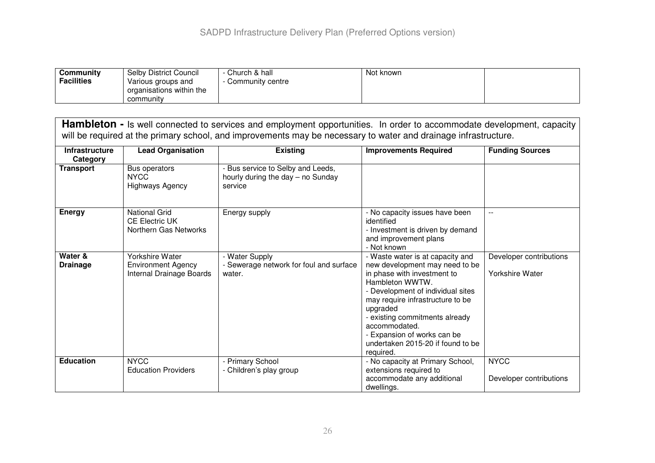| Community         | <b>Selby District Council</b> | Church & hall    | Not known |  |
|-------------------|-------------------------------|------------------|-----------|--|
| <b>Facilities</b> | Various groups and            | Community centre |           |  |
|                   | organisations within the      |                  |           |  |
|                   | community                     |                  |           |  |

| <b>Hambleton -</b> Is well connected to services and employment opportunities. In order to accommodate development, capacity<br>will be required at the primary school, and improvements may be necessary to water and drainage infrastructure. |                                                                          |                                                                                   |                                                                                                                                                                                                                                                                                                                                               |                                            |  |
|-------------------------------------------------------------------------------------------------------------------------------------------------------------------------------------------------------------------------------------------------|--------------------------------------------------------------------------|-----------------------------------------------------------------------------------|-----------------------------------------------------------------------------------------------------------------------------------------------------------------------------------------------------------------------------------------------------------------------------------------------------------------------------------------------|--------------------------------------------|--|
| <b>Infrastructure</b><br>Category                                                                                                                                                                                                               | <b>Lead Organisation</b>                                                 | <b>Existing</b>                                                                   | <b>Improvements Required</b>                                                                                                                                                                                                                                                                                                                  | <b>Funding Sources</b>                     |  |
| <b>Transport</b>                                                                                                                                                                                                                                | Bus operators<br><b>NYCC</b><br><b>Highways Agency</b>                   | - Bus service to Selby and Leeds,<br>hourly during the day - no Sunday<br>service |                                                                                                                                                                                                                                                                                                                                               |                                            |  |
| Energy                                                                                                                                                                                                                                          | <b>National Grid</b><br><b>CE Electric UK</b><br>Northern Gas Networks   | Energy supply                                                                     | - No capacity issues have been<br>identified<br>- Investment is driven by demand<br>and improvement plans<br>- Not known                                                                                                                                                                                                                      | $\overline{a}$                             |  |
| Water &<br><b>Drainage</b>                                                                                                                                                                                                                      | Yorkshire Water<br><b>Environment Agency</b><br>Internal Drainage Boards | - Water Supply<br>- Sewerage network for foul and surface<br>water.               | - Waste water is at capacity and<br>new development may need to be<br>in phase with investment to<br>Hambleton WWTW.<br>- Development of individual sites<br>may require infrastructure to be<br>upgraded<br>- existing commitments already<br>accommodated.<br>- Expansion of works can be<br>undertaken 2015-20 if found to be<br>required. | Developer contributions<br>Yorkshire Water |  |
| <b>Education</b>                                                                                                                                                                                                                                | <b>NYCC</b><br><b>Education Providers</b>                                | <b>Primary School</b><br>- Children's play group                                  | - No capacity at Primary School,<br>extensions required to<br>accommodate any additional<br>dwellings.                                                                                                                                                                                                                                        | <b>NYCC</b><br>Developer contributions     |  |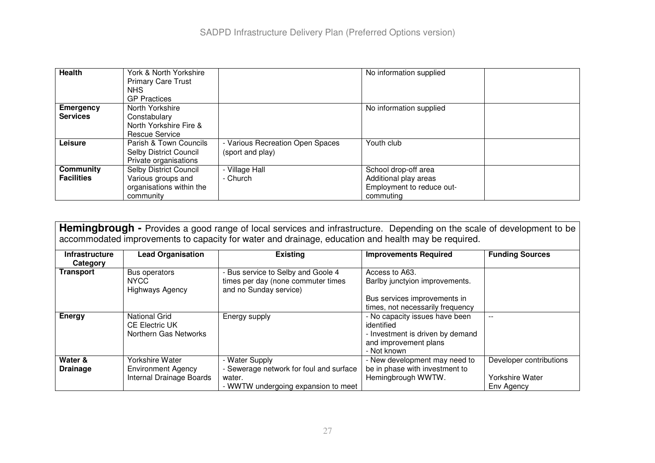| Health            | York & North Yorkshire<br><b>Primary Care Trust</b><br>NHS.<br><b>GP Practices</b> |                                | No information supplied   |  |
|-------------------|------------------------------------------------------------------------------------|--------------------------------|---------------------------|--|
| <b>Emergency</b>  | North Yorkshire                                                                    |                                | No information supplied   |  |
| <b>Services</b>   | Constabulary                                                                       |                                |                           |  |
|                   | North Yorkshire Fire &                                                             |                                |                           |  |
|                   | Rescue Service                                                                     |                                |                           |  |
| Leisure           | Parish & Town Councils                                                             | Various Recreation Open Spaces | Youth club                |  |
|                   | Selby District Council                                                             | (sport and play)               |                           |  |
|                   | Private organisations                                                              |                                |                           |  |
| Community         | Selby District Council                                                             | - Village Hall                 | School drop-off area      |  |
| <b>Facilities</b> | Various groups and                                                                 | - Church                       | Additional play areas     |  |
|                   | organisations within the                                                           |                                | Employment to reduce out- |  |
|                   | community                                                                          |                                | commuting                 |  |

| Hemingbrough - Provides a good range of local services and infrastructure. Depending on the scale of development to be<br>accommodated improvements to capacity for water and drainage, education and health may be required. |                                                                          |                                                                                                            |                                                                                                                          |                                                          |
|-------------------------------------------------------------------------------------------------------------------------------------------------------------------------------------------------------------------------------|--------------------------------------------------------------------------|------------------------------------------------------------------------------------------------------------|--------------------------------------------------------------------------------------------------------------------------|----------------------------------------------------------|
| <b>Infrastructure</b><br>Category                                                                                                                                                                                             | <b>Lead Organisation</b>                                                 | <b>Existing</b>                                                                                            | <b>Improvements Required</b>                                                                                             | <b>Funding Sources</b>                                   |
| <b>Transport</b>                                                                                                                                                                                                              | Bus operators<br><b>NYCC</b><br><b>Highways Agency</b>                   | Bus service to Selby and Goole 4<br>times per day (none commuter times<br>and no Sunday service)           | Access to A63.<br>Barlby junctyion improvements.<br>Bus services improvements in<br>times, not necessarily frequency     |                                                          |
| <b>Energy</b>                                                                                                                                                                                                                 | National Grid<br><b>CE Electric UK</b><br>Northern Gas Networks          | Energy supply                                                                                              | - No capacity issues have been<br>identified<br>- Investment is driven by demand<br>and improvement plans<br>- Not known |                                                          |
| Water &<br><b>Drainage</b>                                                                                                                                                                                                    | Yorkshire Water<br><b>Environment Agency</b><br>Internal Drainage Boards | - Water Supply<br>- Sewerage network for foul and surface<br>water.<br>- WWTW undergoing expansion to meet | New development may need to<br>be in phase with investment to<br>Hemingbrough WWTW.                                      | Developer contributions<br>Yorkshire Water<br>Env Agency |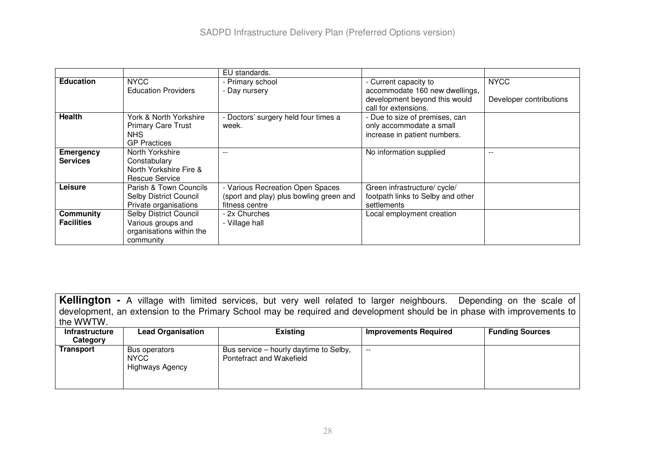|                                       |                                                                                       | EU standards.                                                                                 |                                                                                                                  |                                        |
|---------------------------------------|---------------------------------------------------------------------------------------|-----------------------------------------------------------------------------------------------|------------------------------------------------------------------------------------------------------------------|----------------------------------------|
| <b>Education</b>                      | <b>NYCC</b><br><b>Education Providers</b>                                             | - Primary school<br>- Day nursery                                                             | - Current capacity to<br>accommodate 160 new dwellings,<br>development beyond this would<br>call for extensions. | <b>NYCC</b><br>Developer contributions |
| <b>Health</b>                         | York & North Yorkshire<br><b>Primary Care Trust</b><br>NHS.<br><b>GP</b> Practices    | Doctors' surgery held four times a<br>week.                                                   | - Due to size of premises, can<br>only accommodate a small<br>increase in patient numbers.                       |                                        |
| <b>Emergency</b><br><b>Services</b>   | North Yorkshire<br>Constabulary<br>North Yorkshire Fire &<br>Rescue Service           | $-$                                                                                           | No information supplied                                                                                          |                                        |
| Leisure                               | Parish & Town Councils<br>Selby District Council<br>Private organisations             | - Various Recreation Open Spaces<br>(sport and play) plus bowling green and<br>fitness centre | Green infrastructure/ cycle/<br>footpath links to Selby and other<br>settlements                                 |                                        |
| <b>Community</b><br><b>Facilities</b> | Selby District Council<br>Various groups and<br>organisations within the<br>community | - 2x Churches<br>- Village hall                                                               | Local employment creation                                                                                        |                                        |

**Kellington -** <sup>A</sup> village with limited services, but very well related to larger neighbours. Depending on the scale of development, an extension to the Primary School may be required and development should be in phase with improvements to the WWTW.

| <b>Infrastructure</b><br>Category | <b>Lead Organisation</b>                        | <b>Existing</b>                                                    | Improvements Required | <b>Funding Sources</b> |
|-----------------------------------|-------------------------------------------------|--------------------------------------------------------------------|-----------------------|------------------------|
| <b>Transport</b>                  | Bus operators<br><b>NYCC</b><br>Highways Agency | Bus service – hourly daytime to Selby,<br>Pontefract and Wakefield | $- -$                 |                        |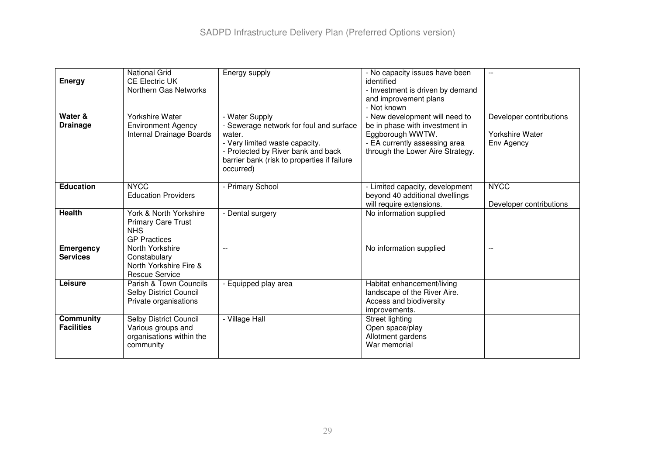| <b>Energy</b>                         | <b>National Grid</b><br><b>CE Electric UK</b><br>Northern Gas Networks                       | Energy supply                                                                                                                                                                                           | - No capacity issues have been<br>identified<br>- Investment is driven by demand<br>and improvement plans<br>- Not known                                  |                                                          |
|---------------------------------------|----------------------------------------------------------------------------------------------|---------------------------------------------------------------------------------------------------------------------------------------------------------------------------------------------------------|-----------------------------------------------------------------------------------------------------------------------------------------------------------|----------------------------------------------------------|
| Water &<br><b>Drainage</b>            | <b>Yorkshire Water</b><br><b>Environment Agency</b><br>Internal Drainage Boards              | - Water Supply<br>- Sewerage network for foul and surface<br>water.<br>- Very limited waste capacity.<br>- Protected by River bank and back<br>barrier bank (risk to properties if failure<br>occurred) | - New development will need to<br>be in phase with investment in<br>Eggborough WWTW.<br>- EA currently assessing area<br>through the Lower Aire Strategy. | Developer contributions<br>Yorkshire Water<br>Env Agency |
| <b>Education</b>                      | <b>NYCC</b><br><b>Education Providers</b>                                                    | - Primary School                                                                                                                                                                                        | - Limited capacity, development<br>beyond 40 additional dwellings<br>will require extensions.                                                             | <b>NYCC</b><br>Developer contributions                   |
| <b>Health</b>                         | York & North Yorkshire<br><b>Primary Care Trust</b><br><b>NHS</b><br><b>GP Practices</b>     | - Dental surgery                                                                                                                                                                                        | No information supplied                                                                                                                                   |                                                          |
| <b>Emergency</b><br><b>Services</b>   | North Yorkshire<br>Constabulary<br>North Yorkshire Fire &<br><b>Rescue Service</b>           | $-$                                                                                                                                                                                                     | No information supplied                                                                                                                                   | $\overline{\phantom{m}}$                                 |
| Leisure                               | Parish & Town Councils<br>Selby District Council<br>Private organisations                    | - Equipped play area                                                                                                                                                                                    | Habitat enhancement/living<br>landscape of the River Aire.<br>Access and biodiversity<br>improvements.                                                    |                                                          |
| <b>Community</b><br><b>Facilities</b> | <b>Selby District Council</b><br>Various groups and<br>organisations within the<br>community | - Village Hall                                                                                                                                                                                          | Street lighting<br>Open space/play<br>Allotment gardens<br>War memorial                                                                                   |                                                          |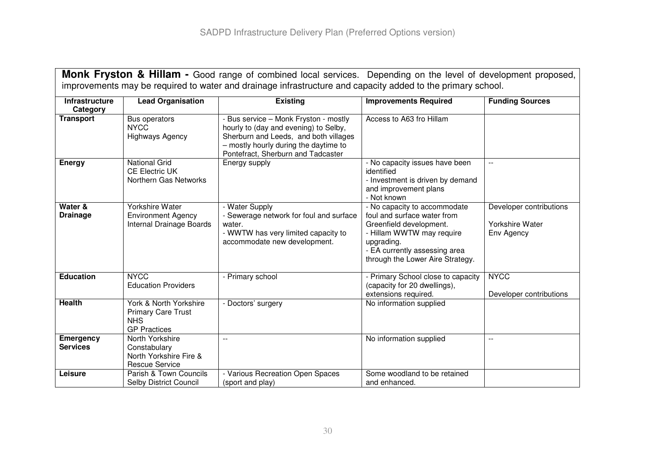| <b>Monk Fryston &amp; Hillam -</b> Good range of combined local services. Depending on the level of development proposed,<br>improvements may be required to water and drainage infrastructure and capacity added to the primary school. |                                                                                          |                                                                                                                                                                                                        |                                                                                                                                                                                                        |                                                          |
|------------------------------------------------------------------------------------------------------------------------------------------------------------------------------------------------------------------------------------------|------------------------------------------------------------------------------------------|--------------------------------------------------------------------------------------------------------------------------------------------------------------------------------------------------------|--------------------------------------------------------------------------------------------------------------------------------------------------------------------------------------------------------|----------------------------------------------------------|
| Infrastructure<br>Category                                                                                                                                                                                                               | <b>Lead Organisation</b>                                                                 | <b>Existing</b>                                                                                                                                                                                        | <b>Improvements Required</b>                                                                                                                                                                           | <b>Funding Sources</b>                                   |
| <b>Transport</b>                                                                                                                                                                                                                         | Bus operators<br>NYCC<br><b>Highways Agency</b>                                          | - Bus service - Monk Fryston - mostly<br>hourly to (day and evening) to Selby,<br>Sherburn and Leeds, and both villages<br>- mostly hourly during the daytime to<br>Pontefract, Sherburn and Tadcaster | Access to A63 fro Hillam                                                                                                                                                                               |                                                          |
| <b>Energy</b>                                                                                                                                                                                                                            | <b>National Grid</b><br><b>CE Electric UK</b><br>Northern Gas Networks                   | Energy supply                                                                                                                                                                                          | - No capacity issues have been<br>identified<br>- Investment is driven by demand<br>and improvement plans<br>- Not known                                                                               | $\mathbf{L}$                                             |
| Water &<br><b>Drainage</b>                                                                                                                                                                                                               | <b>Yorkshire Water</b><br><b>Environment Agency</b><br>Internal Drainage Boards          | - Water Supply<br>Sewerage network for foul and surface<br>water.<br>- WWTW has very limited capacity to<br>accommodate new development.                                                               | - No capacity to accommodate<br>foul and surface water from<br>Greenfield development.<br>- Hillam WWTW may require<br>upgrading.<br>- EA currently assessing area<br>through the Lower Aire Strategy. | Developer contributions<br>Yorkshire Water<br>Env Agency |
| <b>Education</b>                                                                                                                                                                                                                         | <b>NYCC</b><br><b>Education Providers</b>                                                | - Primary school                                                                                                                                                                                       | - Primary School close to capacity<br>(capacity for 20 dwellings),<br>extensions required.                                                                                                             | <b>NYCC</b><br>Developer contributions                   |
| <b>Health</b>                                                                                                                                                                                                                            | York & North Yorkshire<br><b>Primary Care Trust</b><br><b>NHS</b><br><b>GP Practices</b> | - Doctors' surgery                                                                                                                                                                                     | No information supplied                                                                                                                                                                                |                                                          |
| <b>Emergency</b><br><b>Services</b>                                                                                                                                                                                                      | North Yorkshire<br>Constabulary<br>North Yorkshire Fire &<br><b>Rescue Service</b>       | $\overline{a}$                                                                                                                                                                                         | No information supplied                                                                                                                                                                                | $-$                                                      |
| Leisure                                                                                                                                                                                                                                  | Parish & Town Councils<br>Selby District Council                                         | - Various Recreation Open Spaces<br>(sport and play)                                                                                                                                                   | Some woodland to be retained<br>and enhanced.                                                                                                                                                          |                                                          |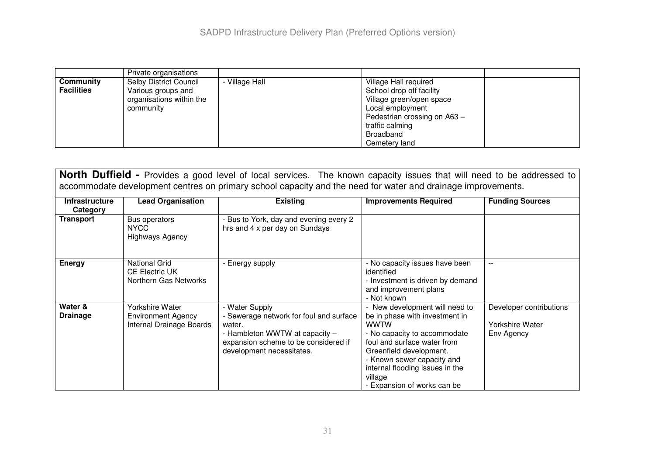|                   | Private organisations         |              |                              |  |
|-------------------|-------------------------------|--------------|------------------------------|--|
| Community         | <b>Selby District Council</b> | Village Hall | Village Hall required        |  |
| <b>Facilities</b> | Various groups and            |              | School drop off facility     |  |
|                   | organisations within the      |              | Village green/open space     |  |
|                   | community                     |              | Local employment             |  |
|                   |                               |              | Pedestrian crossing on A63 - |  |
|                   |                               |              | traffic calming              |  |
|                   |                               |              | Broadband                    |  |
|                   |                               |              | Cemetery land                |  |

**North Duffield -** Provides <sup>a</sup> good level of local services. The known capacity issues that will need to be addressed to accommodate development centres on primary school capacity and the need for water and drainage improvements.

| <b>Infrastructure</b><br>Category | <b>Lead Organisation</b>                                               | <b>Existing</b>                                                                                                                                                            | <b>Improvements Required</b>                                                                                                                                                                                                                                                         | <b>Funding Sources</b>                                          |
|-----------------------------------|------------------------------------------------------------------------|----------------------------------------------------------------------------------------------------------------------------------------------------------------------------|--------------------------------------------------------------------------------------------------------------------------------------------------------------------------------------------------------------------------------------------------------------------------------------|-----------------------------------------------------------------|
| <b>Transport</b>                  | Bus operators<br>NYCC.<br><b>Highways Agency</b>                       | - Bus to York, day and evening every 2<br>hrs and 4 x per day on Sundays                                                                                                   |                                                                                                                                                                                                                                                                                      |                                                                 |
| <b>Energy</b>                     | <b>National Grid</b><br><b>CE Electric UK</b><br>Northern Gas Networks | - Energy supply                                                                                                                                                            | - No capacity issues have been<br>identified<br>- Investment is driven by demand<br>and improvement plans<br>- Not known                                                                                                                                                             | $- -$                                                           |
| Water &<br><b>Drainage</b>        | Yorkshire Water<br>Environment Agency<br>Internal Drainage Boards      | - Water Supply<br>- Sewerage network for foul and surface<br>water.<br>- Hambleton WWTW at capacity -<br>expansion scheme to be considered if<br>development necessitates. | - New development will need to<br>be in phase with investment in<br><b>WWTW</b><br>- No capacity to accommodate<br>foul and surface water from<br>Greenfield development.<br>- Known sewer capacity and<br>internal flooding issues in the<br>village<br>- Expansion of works can be | Developer contributions<br><b>Yorkshire Water</b><br>Env Agency |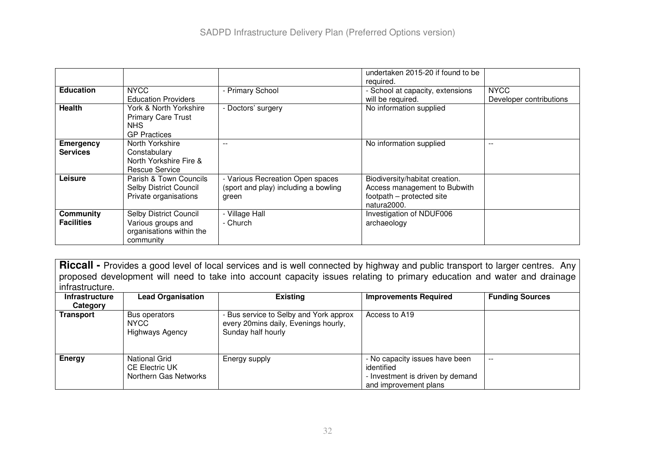|                                |                                                                                       |                                                                                   | undertaken 2015-20 if found to be<br>required.                                                             |                                        |
|--------------------------------|---------------------------------------------------------------------------------------|-----------------------------------------------------------------------------------|------------------------------------------------------------------------------------------------------------|----------------------------------------|
| <b>Education</b>               | <b>NYCC</b><br><b>Education Providers</b>                                             | - Primary School                                                                  | - School at capacity, extensions<br>will be required.                                                      | <b>NYCC</b><br>Developer contributions |
| <b>Health</b>                  | York & North Yorkshire<br><b>Primary Care Trust</b><br>NHS.<br><b>GP Practices</b>    | - Doctors' surgery                                                                | No information supplied                                                                                    |                                        |
| Emergency<br><b>Services</b>   | North Yorkshire<br>Constabulary<br>North Yorkshire Fire &<br>Rescue Service           |                                                                                   | No information supplied                                                                                    |                                        |
| Leisure                        | Parish & Town Councils<br>Selby District Council<br>Private organisations             | - Various Recreation Open spaces<br>(sport and play) including a bowling<br>green | Biodiversity/habitat creation.<br>Access management to Bubwith<br>footpath - protected site<br>natura2000. |                                        |
| Community<br><b>Facilities</b> | Selby District Council<br>Various groups and<br>organisations within the<br>community | - Village Hall<br>- Church                                                        | Investigation of NDUF006<br>archaeology                                                                    |                                        |

**Riccall -** Provides a good level of local services and is well connected by highway and public transport to larger centres. Any proposed development will need to take into account capacity issues relating to primary education and water and drainage infrastructure.

| <b>Infrastructure</b> | <b>Lead Organisation</b>                                        | <b>Existing</b>                                                                                      | <b>Improvements Required</b>                                                                              | <b>Funding Sources</b> |
|-----------------------|-----------------------------------------------------------------|------------------------------------------------------------------------------------------------------|-----------------------------------------------------------------------------------------------------------|------------------------|
| Category              |                                                                 |                                                                                                      |                                                                                                           |                        |
| Transport             | Bus operators<br><b>NYCC</b><br>Highways Agency                 | - Bus service to Selby and York approx<br>every 20mins daily, Evenings hourly,<br>Sunday half hourly | Access to A19                                                                                             |                        |
| Energy                | National Grid<br><b>CE Electric UK</b><br>Northern Gas Networks | Energy supply                                                                                        | - No capacity issues have been<br>identified<br>- Investment is driven by demand<br>and improvement plans | $- -$                  |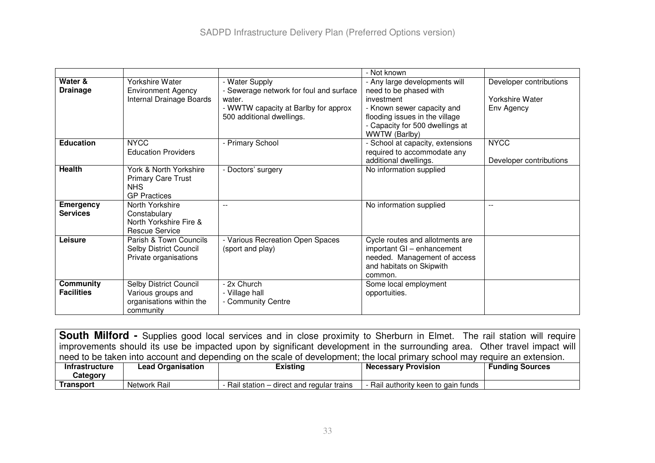|                   |                               |                                         | - Not known                            |                         |
|-------------------|-------------------------------|-----------------------------------------|----------------------------------------|-------------------------|
| Water &           | Yorkshire Water               | - Water Supply                          | - Any large developments will          | Developer contributions |
| <b>Drainage</b>   | <b>Environment Agency</b>     | - Sewerage network for foul and surface | need to be phased with                 |                         |
|                   | Internal Drainage Boards      | water.                                  | investment                             | Yorkshire Water         |
|                   |                               | - WWTW capacity at Barlby for approx    | - Known sewer capacity and             | Env Agency              |
|                   |                               | 500 additional dwellings.               | flooding issues in the village         |                         |
|                   |                               |                                         | - Capacity for 500 dwellings at        |                         |
|                   |                               |                                         | WWTW (Barlby)                          |                         |
| <b>Education</b>  | <b>NYCC</b>                   | - Primary School                        | - School at capacity, extensions       | <b>NYCC</b>             |
|                   | <b>Education Providers</b>    |                                         | required to accommodate any            |                         |
|                   |                               |                                         | additional dwellings.                  | Developer contributions |
| <b>Health</b>     | York & North Yorkshire        | - Doctors' surgery                      | No information supplied                |                         |
|                   | <b>Primary Care Trust</b>     |                                         |                                        |                         |
|                   | <b>NHS</b>                    |                                         |                                        |                         |
|                   | <b>GP</b> Practices           |                                         |                                        |                         |
| <b>Emergency</b>  | North Yorkshire               |                                         | No information supplied                | $\sim$ $\sim$           |
| <b>Services</b>   | Constabulary                  |                                         |                                        |                         |
|                   | North Yorkshire Fire &        |                                         |                                        |                         |
| Leisure           | <b>Rescue Service</b>         |                                         |                                        |                         |
|                   | Parish & Town Councils        | - Various Recreation Open Spaces        | Cycle routes and allotments are        |                         |
|                   | <b>Selby District Council</b> | (sport and play)                        | important GI - enhancement             |                         |
|                   | Private organisations         |                                         | needed. Management of access           |                         |
|                   |                               |                                         | and habitats on Skipwith               |                         |
| <b>Community</b>  | Selby District Council        | - 2x Church                             | common.                                |                         |
| <b>Facilities</b> | Various groups and            | - Village hall                          | Some local employment<br>opportuities. |                         |
|                   | organisations within the      | - Community Centre                      |                                        |                         |
|                   | community                     |                                         |                                        |                         |
|                   |                               |                                         |                                        |                         |

**South Milford -** Supplies good local services and in close proximity to Sherburn in Elmet. The rail station will require improvements should its use be impacted upon by significant development in the surrounding area. Other travel impact will need to be taken into account and depending on the scale of development; the local primary school may require an extension.

| Intrastructure | <b>Lead Organisation</b> | Existing                                        | <b>Necessary Provision</b>        | <b>Funding Sources</b> |
|----------------|--------------------------|-------------------------------------------------|-----------------------------------|------------------------|
| Category       |                          |                                                 |                                   |                        |
| Transport      | Rail<br>Network          | Rail station $-$<br>- direct and regular trains | Rail authority keen to gain funds |                        |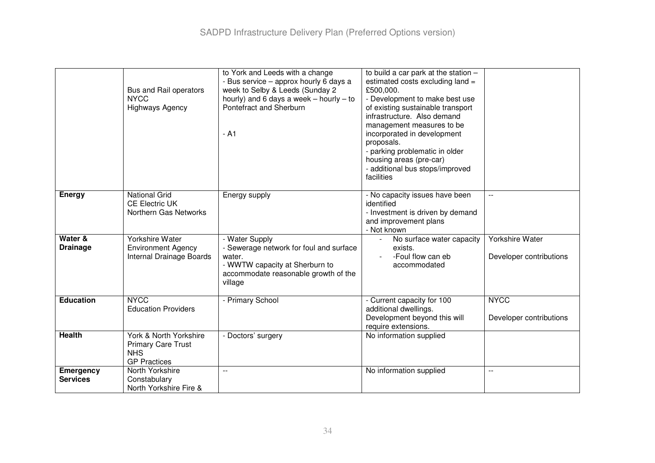|                                     | Bus and Rail operators<br><b>NYCC</b><br><b>Highways Agency</b>                          | to York and Leeds with a change<br>- Bus service - approx hourly 6 days a<br>week to Selby & Leeds (Sunday 2<br>hourly) and 6 days a week $-$ hourly $-$ to<br>Pontefract and Sherburn<br>$-$ A <sub>1</sub> | to build a car park at the station -<br>estimated costs excluding land =<br>£500,000.<br>- Development to make best use<br>of existing sustainable transport<br>infrastructure. Also demand<br>management measures to be<br>incorporated in development<br>proposals.<br>- parking problematic in older<br>housing areas (pre-car)<br>- additional bus stops/improved<br>facilities |                                            |
|-------------------------------------|------------------------------------------------------------------------------------------|--------------------------------------------------------------------------------------------------------------------------------------------------------------------------------------------------------------|-------------------------------------------------------------------------------------------------------------------------------------------------------------------------------------------------------------------------------------------------------------------------------------------------------------------------------------------------------------------------------------|--------------------------------------------|
| Energy                              | <b>National Grid</b><br><b>CE Electric UK</b><br>Northern Gas Networks                   | Energy supply                                                                                                                                                                                                | - No capacity issues have been<br>identified<br>- Investment is driven by demand<br>and improvement plans<br>- Not known                                                                                                                                                                                                                                                            | $\overline{\phantom{a}}$                   |
| Water &<br><b>Drainage</b>          | <b>Yorkshire Water</b><br><b>Environment Agency</b><br>Internal Drainage Boards          | - Water Supply<br>- Sewerage network for foul and surface<br>water.<br>- WWTW capacity at Sherburn to<br>accommodate reasonable growth of the<br>village                                                     | No surface water capacity<br>$\blacksquare$<br>exists.<br>-Foul flow can eb<br>accommodated                                                                                                                                                                                                                                                                                         | Yorkshire Water<br>Developer contributions |
| <b>Education</b>                    | <b>NYCC</b><br><b>Education Providers</b>                                                | - Primary School                                                                                                                                                                                             | - Current capacity for 100<br>additional dwellings.<br>Development beyond this will<br>require extensions.                                                                                                                                                                                                                                                                          | <b>NYCC</b><br>Developer contributions     |
| <b>Health</b>                       | York & North Yorkshire<br><b>Primary Care Trust</b><br><b>NHS</b><br><b>GP Practices</b> | - Doctors' surgery                                                                                                                                                                                           | No information supplied                                                                                                                                                                                                                                                                                                                                                             |                                            |
| <b>Emergency</b><br><b>Services</b> | North Yorkshire<br>Constabulary<br>North Yorkshire Fire &                                |                                                                                                                                                                                                              | No information supplied                                                                                                                                                                                                                                                                                                                                                             | $-$                                        |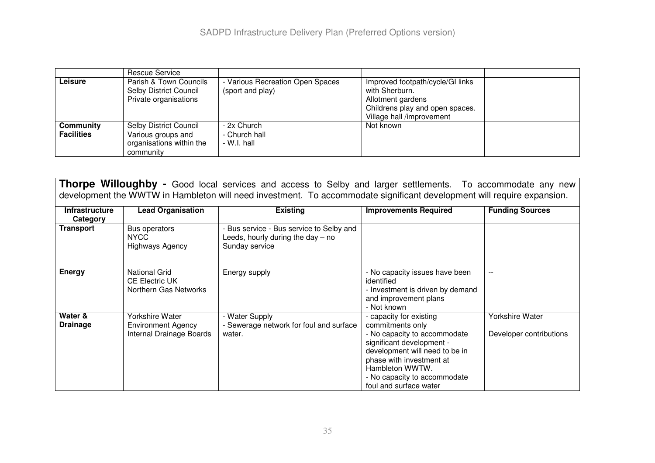|                                | Rescue Service                                                                        |                                                    |                                                                                                                                         |  |
|--------------------------------|---------------------------------------------------------------------------------------|----------------------------------------------------|-----------------------------------------------------------------------------------------------------------------------------------------|--|
| Leisure                        | Parish & Town Councils<br><b>Selby District Council</b><br>Private organisations      | Various Recreation Open Spaces<br>(sport and play) | Improved footpath/cycle/GI links<br>with Sherburn.<br>Allotment gardens<br>Childrens play and open spaces.<br>Village hall /improvement |  |
| Community<br><b>Facilities</b> | Selby District Council<br>Various groups and<br>organisations within the<br>community | - 2x Church<br>- Church hall<br>- W.I. hall        | Not known                                                                                                                               |  |

**Thorpe Willoughby -** Good local services and access to Selby and larger settlements. To accommodate any new development the WWTW in Hambleton will need investment. To accommodate significant development will require expansion.

| <b>Infrastructure</b><br>Category | <b>Lead Organisation</b>                                               | <b>Existing</b>                                                                                 | <b>Improvements Required</b>                                                                                                                                                                                                                        | <b>Funding Sources</b>                     |
|-----------------------------------|------------------------------------------------------------------------|-------------------------------------------------------------------------------------------------|-----------------------------------------------------------------------------------------------------------------------------------------------------------------------------------------------------------------------------------------------------|--------------------------------------------|
| <b>Transport</b>                  | Bus operators<br>NYCC.<br>Highways Agency                              | Bus service - Bus service to Selby and<br>Leeds, hourly during the day $-$ no<br>Sunday service |                                                                                                                                                                                                                                                     |                                            |
| <b>Energy</b>                     | <b>National Grid</b><br><b>CE Electric UK</b><br>Northern Gas Networks | Energy supply                                                                                   | - No capacity issues have been<br>identified<br>- Investment is driven by demand<br>and improvement plans<br>- Not known                                                                                                                            |                                            |
| Water &<br><b>Drainage</b>        | Yorkshire Water<br>Environment Agency<br>Internal Drainage Boards      | - Water Supply<br>- Sewerage network for foul and surface<br>water.                             | - capacity for existing<br>commitments only<br>- No capacity to accommodate<br>significant development -<br>development will need to be in<br>phase with investment at<br>Hambleton WWTW.<br>- No capacity to accommodate<br>foul and surface water | Yorkshire Water<br>Developer contributions |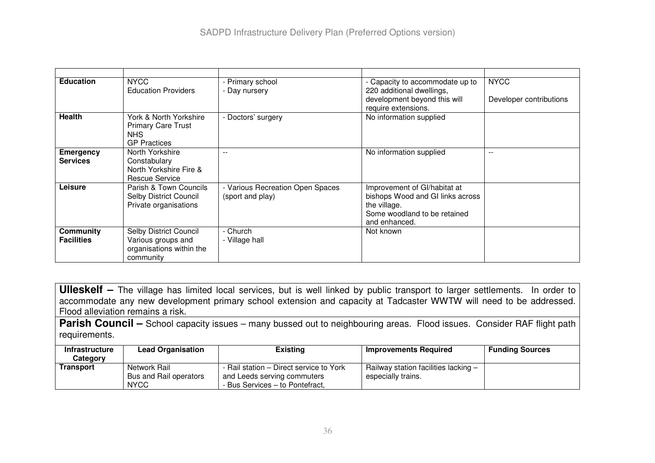| <b>Education</b>                      | <b>NYCC</b><br><b>Education Providers</b>                                             | - Primary school<br>- Day nursery                    | - Capacity to accommodate up to<br>220 additional dwellings,<br>development beyond this will<br>require extensions.               | <b>NYCC</b><br>Developer contributions |
|---------------------------------------|---------------------------------------------------------------------------------------|------------------------------------------------------|-----------------------------------------------------------------------------------------------------------------------------------|----------------------------------------|
| <b>Health</b>                         | York & North Yorkshire<br><b>Primary Care Trust</b><br>NHS.<br><b>GP Practices</b>    | - Doctors' surgery                                   | No information supplied                                                                                                           |                                        |
| Emergency<br><b>Services</b>          | North Yorkshire<br>Constabulary<br>North Yorkshire Fire &<br>Rescue Service           | $-$                                                  | No information supplied                                                                                                           | $- -$                                  |
| Leisure                               | Parish & Town Councils<br><b>Selby District Council</b><br>Private organisations      | - Various Recreation Open Spaces<br>(sport and play) | Improvement of GI/habitat at<br>bishops Wood and GI links across<br>the village.<br>Some woodland to be retained<br>and enhanced. |                                        |
| <b>Community</b><br><b>Facilities</b> | Selby District Council<br>Various groups and<br>organisations within the<br>community | - Church<br>- Village hall                           | Not known                                                                                                                         |                                        |

**Ulleskelf –** The village has limited local services, but is well linked by public transport to larger settlements. In order to accommodate any new development primary school extension and capacity at Tadcaster WWTW will need to be addressed. Flood alleviation remains a risk.

**Parish Council –** School capacity issues – many bussed out to neighbouring areas. Flood issues. Consider RAF flight path requirements.

| <b>Infrastructure</b><br>Category | <b>Lead Organisation</b>                              | <b>Existing</b>                                                                                           | Improvements Required                                      | <b>Funding Sources</b> |
|-----------------------------------|-------------------------------------------------------|-----------------------------------------------------------------------------------------------------------|------------------------------------------------------------|------------------------|
| Transport                         | Network Rail<br>Bus and Rail operators<br><b>NYCC</b> | - Rail station – Direct service to York<br>and Leeds serving commuters<br>- Bus Services – to Pontefract, | Railway station facilities lacking -<br>especially trains. |                        |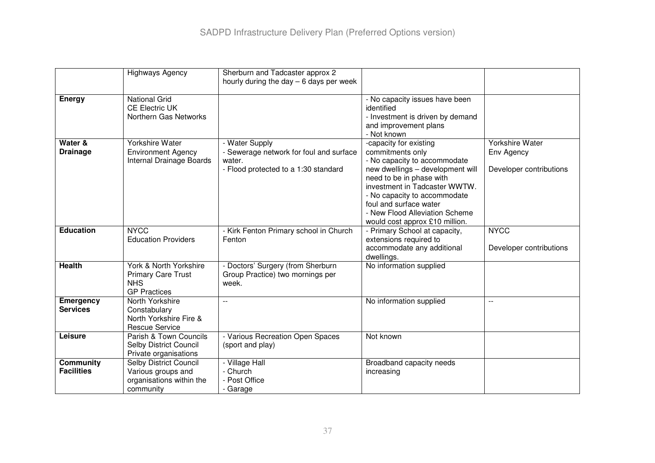|                                     | <b>Highways Agency</b>                                                                   | Sherburn and Tadcaster approx 2<br>hourly during the day $-6$ days per week                                 |                                                                                                                                                                                                                                                                                                           |                                                          |
|-------------------------------------|------------------------------------------------------------------------------------------|-------------------------------------------------------------------------------------------------------------|-----------------------------------------------------------------------------------------------------------------------------------------------------------------------------------------------------------------------------------------------------------------------------------------------------------|----------------------------------------------------------|
| <b>Energy</b>                       | <b>National Grid</b><br><b>CE Electric UK</b><br>Northern Gas Networks                   |                                                                                                             | - No capacity issues have been<br>identified<br>- Investment is driven by demand<br>and improvement plans<br>- Not known                                                                                                                                                                                  |                                                          |
| Water &<br><b>Drainage</b>          | Yorkshire Water<br><b>Environment Agency</b><br>Internal Drainage Boards                 | - Water Supply<br>- Sewerage network for foul and surface<br>water.<br>- Flood protected to a 1:30 standard | -capacity for existing<br>commitments only<br>- No capacity to accommodate<br>new dwellings - development will<br>need to be in phase with<br>investment in Tadcaster WWTW.<br>- No capacity to accommodate<br>foul and surface water<br>- New Flood Alleviation Scheme<br>would cost approx £10 million. | Yorkshire Water<br>Env Agency<br>Developer contributions |
| <b>Education</b>                    | <b>NYCC</b><br><b>Education Providers</b>                                                | - Kirk Fenton Primary school in Church<br>Fenton                                                            | - Primary School at capacity,<br>extensions required to<br>accommodate any additional<br>dwellings.                                                                                                                                                                                                       | <b>NYCC</b><br>Developer contributions                   |
| <b>Health</b>                       | York & North Yorkshire<br><b>Primary Care Trust</b><br><b>NHS</b><br><b>GP Practices</b> | - Doctors' Surgery (from Sherburn<br>Group Practice) two mornings per<br>week.                              | No information supplied                                                                                                                                                                                                                                                                                   |                                                          |
| <b>Emergency</b><br><b>Services</b> | North Yorkshire<br>Constabulary<br>North Yorkshire Fire &<br><b>Rescue Service</b>       | $-$                                                                                                         | No information supplied                                                                                                                                                                                                                                                                                   | $-$                                                      |
| Leisure                             | Parish & Town Councils<br><b>Selby District Council</b><br>Private organisations         | - Various Recreation Open Spaces<br>(sport and play)                                                        | Not known                                                                                                                                                                                                                                                                                                 |                                                          |
| Community<br><b>Facilities</b>      | Selby District Council<br>Various groups and<br>organisations within the<br>community    | - Village Hall<br>- Church<br>- Post Office<br>- Garage                                                     | Broadband capacity needs<br>increasing                                                                                                                                                                                                                                                                    |                                                          |